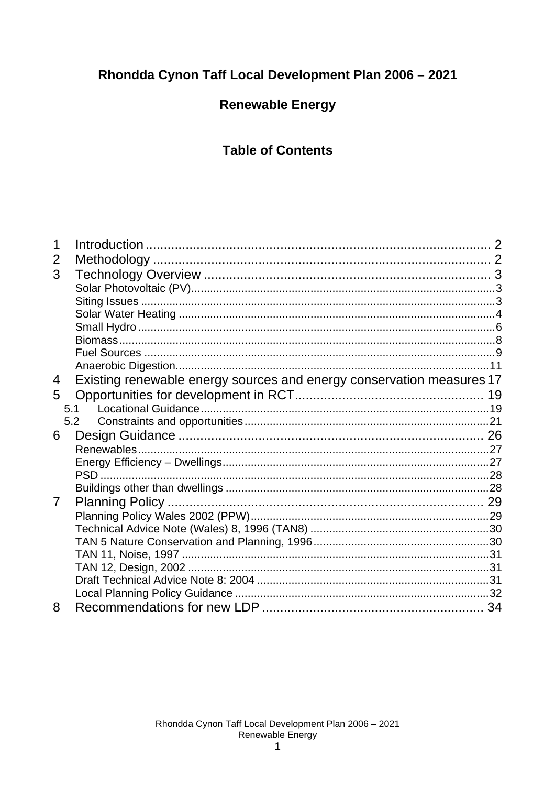# Rhondda Cynon Taff Local Development Plan 2006 - 2021

# **Renewable Energy**

# **Table of Contents**

| 1              |                                                                       |  |
|----------------|-----------------------------------------------------------------------|--|
| 2              |                                                                       |  |
| 3              |                                                                       |  |
|                |                                                                       |  |
|                |                                                                       |  |
|                |                                                                       |  |
|                |                                                                       |  |
|                |                                                                       |  |
|                |                                                                       |  |
|                |                                                                       |  |
| 4              | Existing renewable energy sources and energy conservation measures 17 |  |
| 5              |                                                                       |  |
|                | 5.1                                                                   |  |
|                | 5.2                                                                   |  |
| 6              |                                                                       |  |
|                |                                                                       |  |
|                |                                                                       |  |
|                |                                                                       |  |
|                |                                                                       |  |
| $\overline{7}$ |                                                                       |  |
|                |                                                                       |  |
|                |                                                                       |  |
|                |                                                                       |  |
|                |                                                                       |  |
|                |                                                                       |  |
|                |                                                                       |  |
|                |                                                                       |  |
| 8              |                                                                       |  |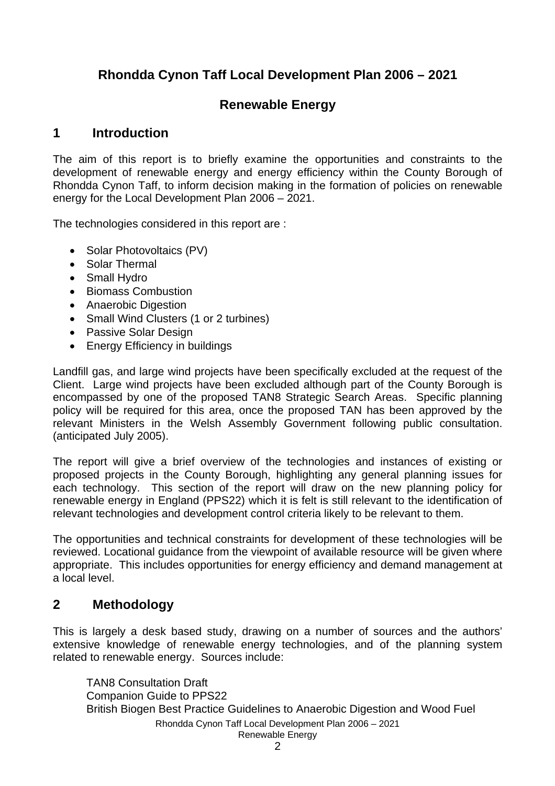# **Rhondda Cynon Taff Local Development Plan 2006 – 2021**

## **Renewable Energy**

## **1 Introduction**

The aim of this report is to briefly examine the opportunities and constraints to the development of renewable energy and energy efficiency within the County Borough of Rhondda Cynon Taff, to inform decision making in the formation of policies on renewable energy for the Local Development Plan 2006 – 2021.

The technologies considered in this report are :

- Solar Photovoltaics (PV)
- Solar Thermal
- Small Hydro
- Biomass Combustion
- Anaerobic Digestion
- Small Wind Clusters (1 or 2 turbines)
- Passive Solar Design
- Energy Efficiency in buildings

Landfill gas, and large wind projects have been specifically excluded at the request of the Client. Large wind projects have been excluded although part of the County Borough is encompassed by one of the proposed TAN8 Strategic Search Areas. Specific planning policy will be required for this area, once the proposed TAN has been approved by the relevant Ministers in the Welsh Assembly Government following public consultation. (anticipated July 2005).

The report will give a brief overview of the technologies and instances of existing or proposed projects in the County Borough, highlighting any general planning issues for each technology. This section of the report will draw on the new planning policy for renewable energy in England (PPS22) which it is felt is still relevant to the identification of relevant technologies and development control criteria likely to be relevant to them.

The opportunities and technical constraints for development of these technologies will be reviewed. Locational guidance from the viewpoint of available resource will be given where appropriate. This includes opportunities for energy efficiency and demand management at a local level.

## **2 Methodology**

This is largely a desk based study, drawing on a number of sources and the authors' extensive knowledge of renewable energy technologies, and of the planning system related to renewable energy. Sources include:

Rhondda Cynon Taff Local Development Plan 2006 – 2021 Renewable Energy TAN8 Consultation Draft Companion Guide to PPS22 British Biogen Best Practice Guidelines to Anaerobic Digestion and Wood Fuel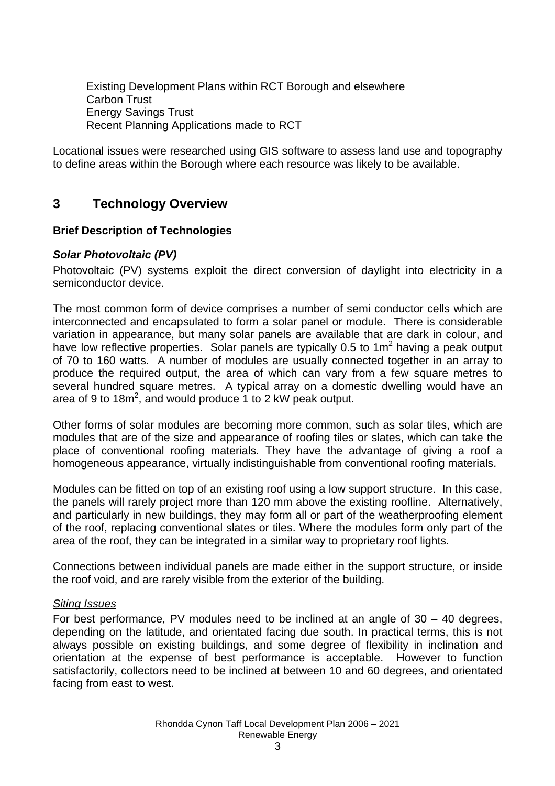Existing Development Plans within RCT Borough and elsewhere Carbon Trust Energy Savings Trust Recent Planning Applications made to RCT

Locational issues were researched using GIS software to assess land use and topography to define areas within the Borough where each resource was likely to be available.

## **3 Technology Overview**

## **Brief Description of Technologies**

## *Solar Photovoltaic (PV)*

Photovoltaic (PV) systems exploit the direct conversion of daylight into electricity in a semiconductor device.

The most common form of device comprises a number of semi conductor cells which are interconnected and encapsulated to form a solar panel or module. There is considerable variation in appearance, but many solar panels are available that are dark in colour, and have low reflective properties. Solar panels are typically 0.5 to 1 $m^2$  having a peak output of 70 to 160 watts. A number of modules are usually connected together in an array to produce the required output, the area of which can vary from a few square metres to several hundred square metres. A typical array on a domestic dwelling would have an area of 9 to 18 $m^2$ , and would produce 1 to 2 kW peak output.

Other forms of solar modules are becoming more common, such as solar tiles, which are modules that are of the size and appearance of roofing tiles or slates, which can take the place of conventional roofing materials. They have the advantage of giving a roof a homogeneous appearance, virtually indistinguishable from conventional roofing materials.

Modules can be fitted on top of an existing roof using a low support structure. In this case, the panels will rarely project more than 120 mm above the existing roofline. Alternatively, and particularly in new buildings, they may form all or part of the weatherproofing element of the roof, replacing conventional slates or tiles. Where the modules form only part of the area of the roof, they can be integrated in a similar way to proprietary roof lights.

Connections between individual panels are made either in the support structure, or inside the roof void, and are rarely visible from the exterior of the building.

### *Siting Issues*

For best performance, PV modules need to be inclined at an angle of  $30 - 40$  degrees, depending on the latitude, and orientated facing due south. In practical terms, this is not always possible on existing buildings, and some degree of flexibility in inclination and orientation at the expense of best performance is acceptable. However to function satisfactorily, collectors need to be inclined at between 10 and 60 degrees, and orientated facing from east to west.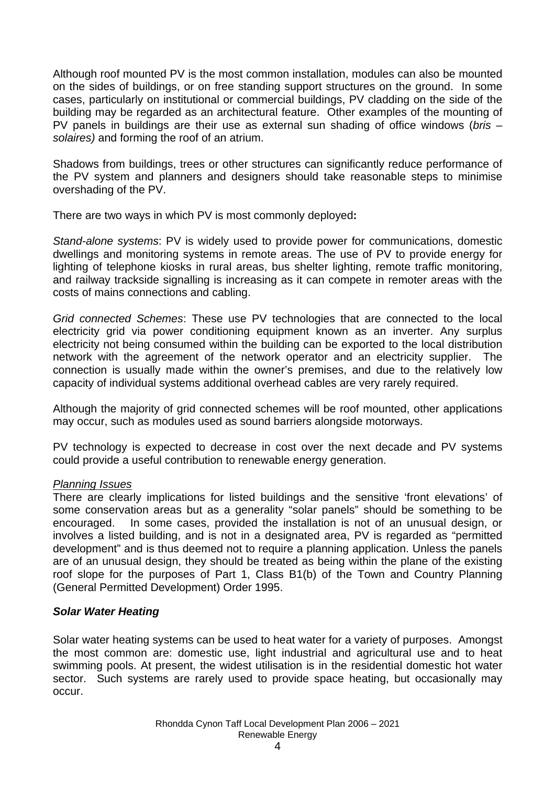Although roof mounted PV is the most common installation, modules can also be mounted on the sides of buildings, or on free standing support structures on the ground. In some cases, particularly on institutional or commercial buildings, PV cladding on the side of the building may be regarded as an architectural feature. Other examples of the mounting of PV panels in buildings are their use as external sun shading of office windows (*bris – solaires)* and forming the roof of an atrium.

Shadows from buildings, trees or other structures can significantly reduce performance of the PV system and planners and designers should take reasonable steps to minimise overshading of the PV.

There are two ways in which PV is most commonly deployed**:** 

*Stand-alone systems*: PV is widely used to provide power for communications, domestic dwellings and monitoring systems in remote areas. The use of PV to provide energy for lighting of telephone kiosks in rural areas, bus shelter lighting, remote traffic monitoring, and railway trackside signalling is increasing as it can compete in remoter areas with the costs of mains connections and cabling.

*Grid connected Schemes*: These use PV technologies that are connected to the local electricity grid via power conditioning equipment known as an inverter. Any surplus electricity not being consumed within the building can be exported to the local distribution network with the agreement of the network operator and an electricity supplier. The connection is usually made within the owner's premises, and due to the relatively low capacity of individual systems additional overhead cables are very rarely required.

Although the majority of grid connected schemes will be roof mounted, other applications may occur, such as modules used as sound barriers alongside motorways.

PV technology is expected to decrease in cost over the next decade and PV systems could provide a useful contribution to renewable energy generation.

### *Planning Issues*

There are clearly implications for listed buildings and the sensitive 'front elevations' of some conservation areas but as a generality "solar panels" should be something to be encouraged. In some cases, provided the installation is not of an unusual design, or involves a listed building, and is not in a designated area, PV is regarded as "permitted development" and is thus deemed not to require a planning application. Unless the panels are of an unusual design, they should be treated as being within the plane of the existing roof slope for the purposes of Part 1, Class B1(b) of the Town and Country Planning (General Permitted Development) Order 1995.

## *Solar Water Heating*

Solar water heating systems can be used to heat water for a variety of purposes. Amongst the most common are: domestic use, light industrial and agricultural use and to heat swimming pools. At present, the widest utilisation is in the residential domestic hot water sector. Such systems are rarely used to provide space heating, but occasionally may occur.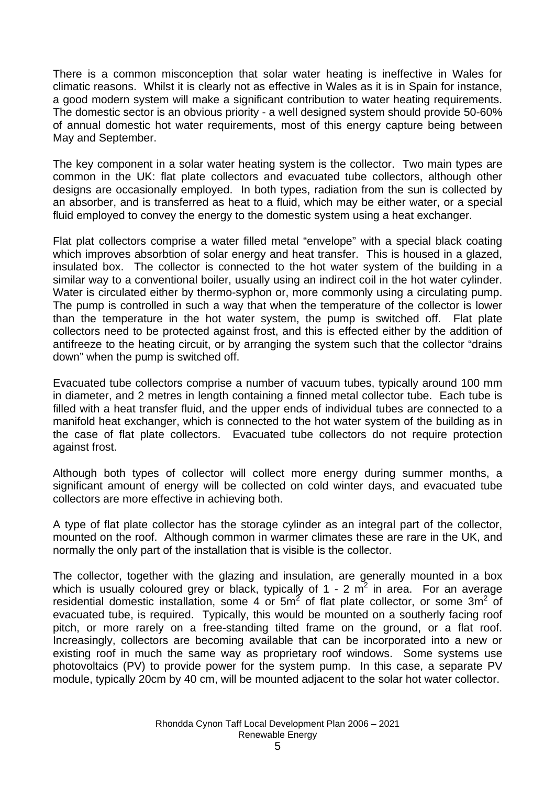There is a common misconception that solar water heating is ineffective in Wales for climatic reasons. Whilst it is clearly not as effective in Wales as it is in Spain for instance, a good modern system will make a significant contribution to water heating requirements. The domestic sector is an obvious priority - a well designed system should provide 50-60% of annual domestic hot water requirements, most of this energy capture being between May and September.

The key component in a solar water heating system is the collector. Two main types are common in the UK: flat plate collectors and evacuated tube collectors, although other designs are occasionally employed. In both types, radiation from the sun is collected by an absorber, and is transferred as heat to a fluid, which may be either water, or a special fluid employed to convey the energy to the domestic system using a heat exchanger.

Flat plat collectors comprise a water filled metal "envelope" with a special black coating which improves absorbtion of solar energy and heat transfer. This is housed in a glazed, insulated box. The collector is connected to the hot water system of the building in a similar way to a conventional boiler, usually using an indirect coil in the hot water cylinder. Water is circulated either by thermo-syphon or, more commonly using a circulating pump. The pump is controlled in such a way that when the temperature of the collector is lower than the temperature in the hot water system, the pump is switched off. Flat plate collectors need to be protected against frost, and this is effected either by the addition of antifreeze to the heating circuit, or by arranging the system such that the collector "drains down" when the pump is switched off.

Evacuated tube collectors comprise a number of vacuum tubes, typically around 100 mm in diameter, and 2 metres in length containing a finned metal collector tube. Each tube is filled with a heat transfer fluid, and the upper ends of individual tubes are connected to a manifold heat exchanger, which is connected to the hot water system of the building as in the case of flat plate collectors. Evacuated tube collectors do not require protection against frost.

Although both types of collector will collect more energy during summer months, a significant amount of energy will be collected on cold winter days, and evacuated tube collectors are more effective in achieving both.

A type of flat plate collector has the storage cylinder as an integral part of the collector, mounted on the roof. Although common in warmer climates these are rare in the UK, and normally the only part of the installation that is visible is the collector.

The collector, together with the glazing and insulation, are generally mounted in a box which is usually coloured grey or black, typically of 1 - 2  $m^2$  in area. For an average residential domestic installation, some 4 or  $5m^2$  of flat plate collector, or some  $3m^2$  of evacuated tube, is required. Typically, this would be mounted on a southerly facing roof pitch, or more rarely on a free-standing tilted frame on the ground, or a flat roof. Increasingly, collectors are becoming available that can be incorporated into a new or existing roof in much the same way as proprietary roof windows. Some systems use photovoltaics (PV) to provide power for the system pump. In this case, a separate PV module, typically 20cm by 40 cm, will be mounted adjacent to the solar hot water collector.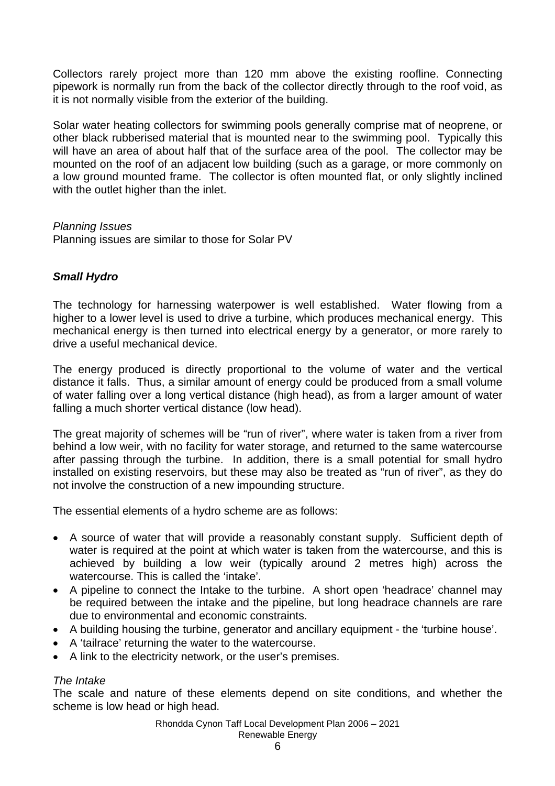Collectors rarely project more than 120 mm above the existing roofline. Connecting pipework is normally run from the back of the collector directly through to the roof void, as it is not normally visible from the exterior of the building.

Solar water heating collectors for swimming pools generally comprise mat of neoprene, or other black rubberised material that is mounted near to the swimming pool. Typically this will have an area of about half that of the surface area of the pool. The collector may be mounted on the roof of an adjacent low building (such as a garage, or more commonly on a low ground mounted frame. The collector is often mounted flat, or only slightly inclined with the outlet higher than the inlet.

### *Planning Issues*

Planning issues are similar to those for Solar PV

## *Small Hydro*

The technology for harnessing waterpower is well established. Water flowing from a higher to a lower level is used to drive a turbine, which produces mechanical energy. This mechanical energy is then turned into electrical energy by a generator, or more rarely to drive a useful mechanical device.

The energy produced is directly proportional to the volume of water and the vertical distance it falls. Thus, a similar amount of energy could be produced from a small volume of water falling over a long vertical distance (high head), as from a larger amount of water falling a much shorter vertical distance (low head).

The great majority of schemes will be "run of river", where water is taken from a river from behind a low weir, with no facility for water storage, and returned to the same watercourse after passing through the turbine. In addition, there is a small potential for small hydro installed on existing reservoirs, but these may also be treated as "run of river", as they do not involve the construction of a new impounding structure.

The essential elements of a hydro scheme are as follows:

- A source of water that will provide a reasonably constant supply. Sufficient depth of water is required at the point at which water is taken from the watercourse, and this is achieved by building a low weir (typically around 2 metres high) across the watercourse. This is called the 'intake'.
- A pipeline to connect the Intake to the turbine. A short open 'headrace' channel may be required between the intake and the pipeline, but long headrace channels are rare due to environmental and economic constraints.
- A building housing the turbine, generator and ancillary equipment the 'turbine house'.
- A 'tailrace' returning the water to the watercourse.
- A link to the electricity network, or the user's premises.

### *The Intake*

The scale and nature of these elements depend on site conditions, and whether the scheme is low head or high head.

> Rhondda Cynon Taff Local Development Plan 2006 – 2021 Renewable Energy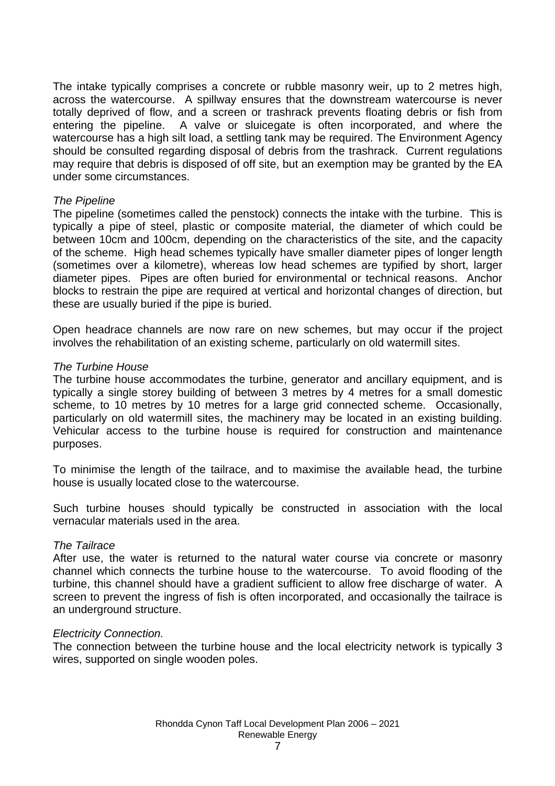The intake typically comprises a concrete or rubble masonry weir, up to 2 metres high, across the watercourse. A spillway ensures that the downstream watercourse is never totally deprived of flow, and a screen or trashrack prevents floating debris or fish from entering the pipeline. A valve or sluicegate is often incorporated, and where the watercourse has a high silt load, a settling tank may be required. The Environment Agency should be consulted regarding disposal of debris from the trashrack. Current regulations may require that debris is disposed of off site, but an exemption may be granted by the EA under some circumstances.

### *The Pipeline*

The pipeline (sometimes called the penstock) connects the intake with the turbine. This is typically a pipe of steel, plastic or composite material, the diameter of which could be between 10cm and 100cm, depending on the characteristics of the site, and the capacity of the scheme. High head schemes typically have smaller diameter pipes of longer length (sometimes over a kilometre), whereas low head schemes are typified by short, larger diameter pipes. Pipes are often buried for environmental or technical reasons. Anchor blocks to restrain the pipe are required at vertical and horizontal changes of direction, but these are usually buried if the pipe is buried.

Open headrace channels are now rare on new schemes, but may occur if the project involves the rehabilitation of an existing scheme, particularly on old watermill sites.

### *The Turbine House*

The turbine house accommodates the turbine, generator and ancillary equipment, and is typically a single storey building of between 3 metres by 4 metres for a small domestic scheme, to 10 metres by 10 metres for a large grid connected scheme. Occasionally, particularly on old watermill sites, the machinery may be located in an existing building. Vehicular access to the turbine house is required for construction and maintenance purposes.

To minimise the length of the tailrace, and to maximise the available head, the turbine house is usually located close to the watercourse.

Such turbine houses should typically be constructed in association with the local vernacular materials used in the area.

#### *The Tailrace*

After use, the water is returned to the natural water course via concrete or masonry channel which connects the turbine house to the watercourse. To avoid flooding of the turbine, this channel should have a gradient sufficient to allow free discharge of water. A screen to prevent the ingress of fish is often incorporated, and occasionally the tailrace is an underground structure.

#### *Electricity Connection.*

The connection between the turbine house and the local electricity network is typically 3 wires, supported on single wooden poles.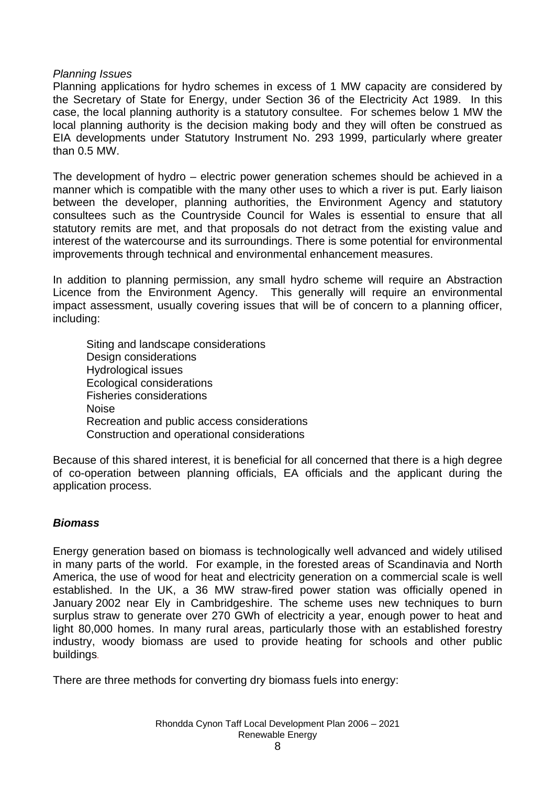### *Planning Issues*

Planning applications for hydro schemes in excess of 1 MW capacity are considered by the Secretary of State for Energy, under Section 36 of the Electricity Act 1989. In this case, the local planning authority is a statutory consultee. For schemes below 1 MW the local planning authority is the decision making body and they will often be construed as EIA developments under Statutory Instrument No. 293 1999, particularly where greater than 0.5 MW.

The development of hydro – electric power generation schemes should be achieved in a manner which is compatible with the many other uses to which a river is put. Early liaison between the developer, planning authorities, the Environment Agency and statutory consultees such as the Countryside Council for Wales is essential to ensure that all statutory remits are met, and that proposals do not detract from the existing value and interest of the watercourse and its surroundings. There is some potential for environmental improvements through technical and environmental enhancement measures.

In addition to planning permission, any small hydro scheme will require an Abstraction Licence from the Environment Agency. This generally will require an environmental impact assessment, usually covering issues that will be of concern to a planning officer, including:

Siting and landscape considerations Design considerations Hydrological issues Ecological considerations Fisheries considerations Noise Recreation and public access considerations Construction and operational considerations

Because of this shared interest, it is beneficial for all concerned that there is a high degree of co-operation between planning officials, EA officials and the applicant during the application process.

### *Biomass*

Energy generation based on biomass is technologically well advanced and widely utilised in many parts of the world. For example, in the forested areas of Scandinavia and North America, the use of wood for heat and electricity generation on a commercial scale is well established. In the UK, a 36 MW straw-fired power station was officially opened in January 2002 near Ely in Cambridgeshire. The scheme uses new techniques to burn surplus straw to generate over 270 GWh of electricity a year, enough power to heat and light 80,000 homes. In many rural areas, particularly those with an established forestry industry, woody biomass are used to provide heating for schools and other public buildings.

There are three methods for converting dry biomass fuels into energy: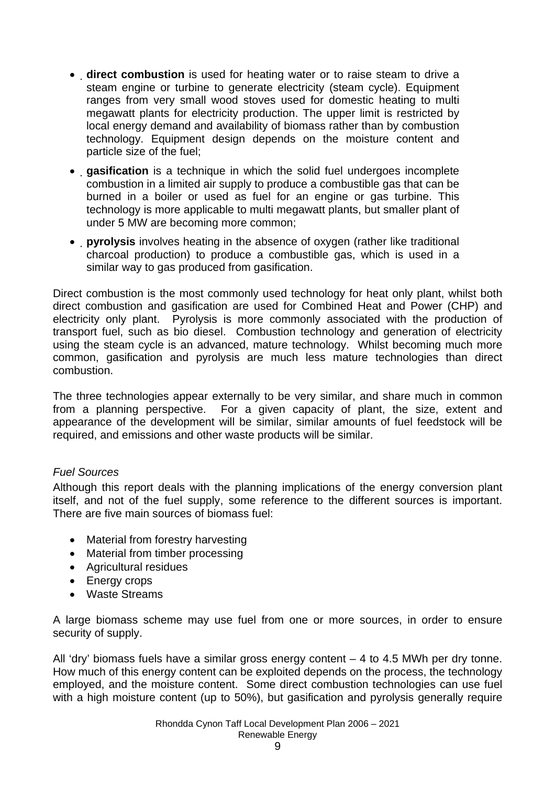- **direct combustion** is used for heating water or to raise steam to drive a steam engine or turbine to generate electricity (steam cycle). Equipment ranges from very small wood stoves used for domestic heating to multi megawatt plants for electricity production. The upper limit is restricted by local energy demand and availability of biomass rather than by combustion technology. Equipment design depends on the moisture content and particle size of the fuel;
- **gasification** is a technique in which the solid fuel undergoes incomplete combustion in a limited air supply to produce a combustible gas that can be burned in a boiler or used as fuel for an engine or gas turbine. This technology is more applicable to multi megawatt plants, but smaller plant of under 5 MW are becoming more common;
- **pyrolysis** involves heating in the absence of oxygen (rather like traditional charcoal production) to produce a combustible gas, which is used in a similar way to gas produced from gasification.

Direct combustion is the most commonly used technology for heat only plant, whilst both direct combustion and gasification are used for Combined Heat and Power (CHP) and electricity only plant. Pyrolysis is more commonly associated with the production of transport fuel, such as bio diesel. Combustion technology and generation of electricity using the steam cycle is an advanced, mature technology. Whilst becoming much more common, gasification and pyrolysis are much less mature technologies than direct combustion.

The three technologies appear externally to be very similar, and share much in common from a planning perspective. For a given capacity of plant, the size, extent and appearance of the development will be similar, similar amounts of fuel feedstock will be required, and emissions and other waste products will be similar.

## *Fuel Sources*

Although this report deals with the planning implications of the energy conversion plant itself, and not of the fuel supply, some reference to the different sources is important. There are five main sources of biomass fuel:

- Material from forestry harvesting
- Material from timber processing
- Agricultural residues
- Energy crops
- Waste Streams

A large biomass scheme may use fuel from one or more sources, in order to ensure security of supply.

All 'dry' biomass fuels have a similar gross energy content – 4 to 4.5 MWh per dry tonne. How much of this energy content can be exploited depends on the process, the technology employed, and the moisture content. Some direct combustion technologies can use fuel with a high moisture content (up to 50%), but gasification and pyrolysis generally require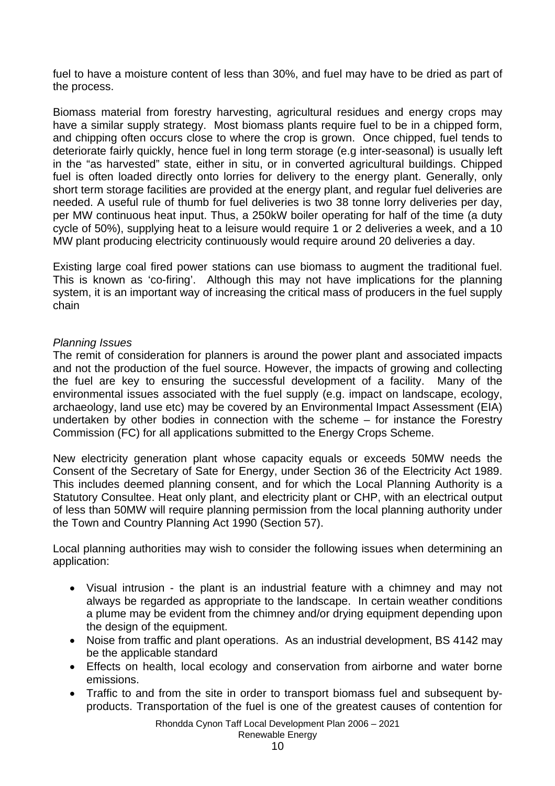fuel to have a moisture content of less than 30%, and fuel may have to be dried as part of the process.

Biomass material from forestry harvesting, agricultural residues and energy crops may have a similar supply strategy. Most biomass plants require fuel to be in a chipped form, and chipping often occurs close to where the crop is grown. Once chipped, fuel tends to deteriorate fairly quickly, hence fuel in long term storage (e.g inter-seasonal) is usually left in the "as harvested" state, either in situ, or in converted agricultural buildings. Chipped fuel is often loaded directly onto lorries for delivery to the energy plant. Generally, only short term storage facilities are provided at the energy plant, and regular fuel deliveries are needed. A useful rule of thumb for fuel deliveries is two 38 tonne lorry deliveries per day, per MW continuous heat input. Thus, a 250kW boiler operating for half of the time (a duty cycle of 50%), supplying heat to a leisure would require 1 or 2 deliveries a week, and a 10 MW plant producing electricity continuously would require around 20 deliveries a day.

Existing large coal fired power stations can use biomass to augment the traditional fuel. This is known as 'co-firing'. Although this may not have implications for the planning system, it is an important way of increasing the critical mass of producers in the fuel supply chain

### *Planning Issues*

The remit of consideration for planners is around the power plant and associated impacts and not the production of the fuel source. However, the impacts of growing and collecting the fuel are key to ensuring the successful development of a facility. Many of the environmental issues associated with the fuel supply (e.g. impact on landscape, ecology, archaeology, land use etc) may be covered by an Environmental Impact Assessment (EIA) undertaken by other bodies in connection with the scheme – for instance the Forestry Commission (FC) for all applications submitted to the Energy Crops Scheme.

New electricity generation plant whose capacity equals or exceeds 50MW needs the Consent of the Secretary of Sate for Energy, under Section 36 of the Electricity Act 1989. This includes deemed planning consent, and for which the Local Planning Authority is a Statutory Consultee. Heat only plant, and electricity plant or CHP, with an electrical output of less than 50MW will require planning permission from the local planning authority under the Town and Country Planning Act 1990 (Section 57).

Local planning authorities may wish to consider the following issues when determining an application:

- Visual intrusion the plant is an industrial feature with a chimney and may not always be regarded as appropriate to the landscape. In certain weather conditions a plume may be evident from the chimney and/or drying equipment depending upon the design of the equipment.
- Noise from traffic and plant operations. As an industrial development, BS 4142 may be the applicable standard
- Effects on health, local ecology and conservation from airborne and water borne emissions.
- Traffic to and from the site in order to transport biomass fuel and subsequent byproducts. Transportation of the fuel is one of the greatest causes of contention for

Rhondda Cynon Taff Local Development Plan 2006 – 2021 Renewable Energy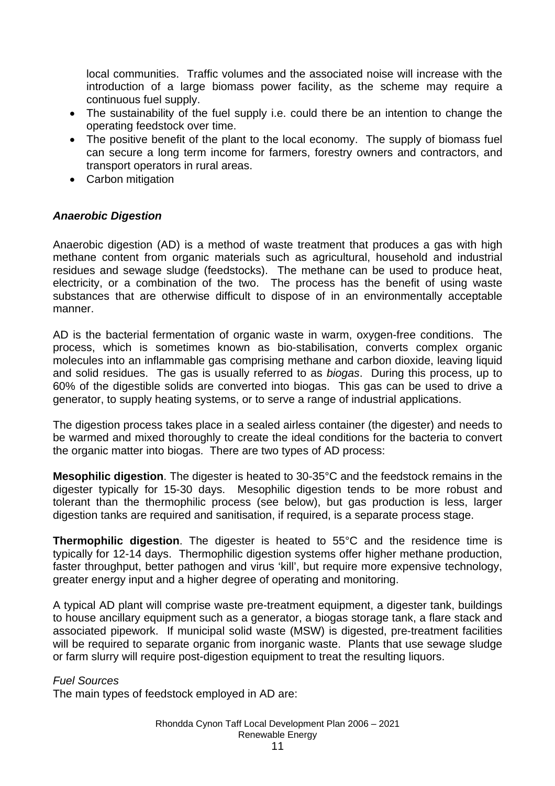local communities. Traffic volumes and the associated noise will increase with the introduction of a large biomass power facility, as the scheme may require a continuous fuel supply.

- The sustainability of the fuel supply i.e. could there be an intention to change the operating feedstock over time.
- The positive benefit of the plant to the local economy. The supply of biomass fuel can secure a long term income for farmers, forestry owners and contractors, and transport operators in rural areas.
- Carbon mitigation

## *Anaerobic Digestion*

Anaerobic digestion (AD) is a method of waste treatment that produces a gas with high methane content from organic materials such as agricultural, household and industrial residues and sewage sludge (feedstocks). The methane can be used to produce heat, electricity, or a combination of the two. The process has the benefit of using waste substances that are otherwise difficult to dispose of in an environmentally acceptable manner.

AD is the bacterial fermentation of organic waste in warm, oxygen-free conditions. The process, which is sometimes known as bio-stabilisation, converts complex organic molecules into an inflammable gas comprising methane and carbon dioxide, leaving liquid and solid residues. The gas is usually referred to as *biogas*. During this process, up to 60% of the digestible solids are converted into biogas. This gas can be used to drive a generator, to supply heating systems, or to serve a range of industrial applications.

The digestion process takes place in a sealed airless container (the digester) and needs to be warmed and mixed thoroughly to create the ideal conditions for the bacteria to convert the organic matter into biogas. There are two types of AD process:

**Mesophilic digestion**. The digester is heated to 30-35°C and the feedstock remains in the digester typically for 15-30 days. Mesophilic digestion tends to be more robust and tolerant than the thermophilic process (see below), but gas production is less, larger digestion tanks are required and sanitisation, if required, is a separate process stage.

**Thermophilic digestion**. The digester is heated to 55°C and the residence time is typically for 12-14 days. Thermophilic digestion systems offer higher methane production, faster throughput, better pathogen and virus 'kill', but require more expensive technology, greater energy input and a higher degree of operating and monitoring.

A typical AD plant will comprise waste pre-treatment equipment, a digester tank, buildings to house ancillary equipment such as a generator, a biogas storage tank, a flare stack and associated pipework. If municipal solid waste (MSW) is digested, pre-treatment facilities will be required to separate organic from inorganic waste. Plants that use sewage sludge or farm slurry will require post-digestion equipment to treat the resulting liquors.

### *Fuel Sources*

The main types of feedstock employed in AD are: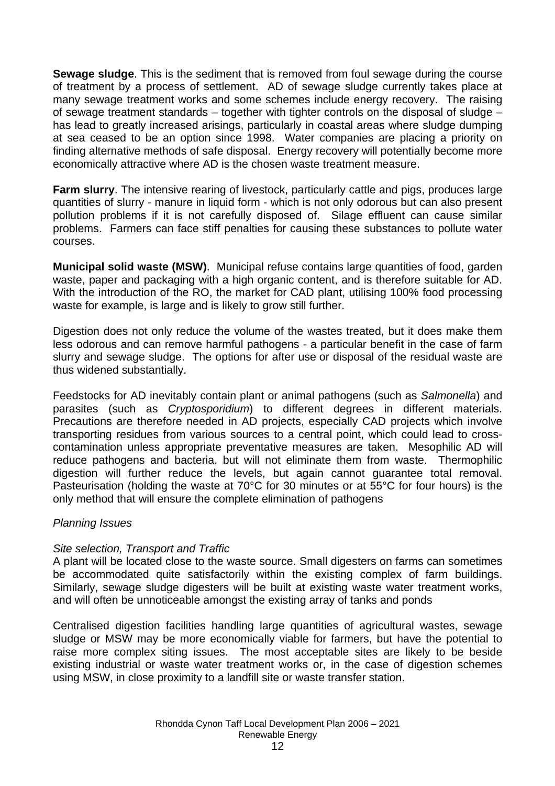**Sewage sludge**. This is the sediment that is removed from foul sewage during the course of treatment by a process of settlement. AD of sewage sludge currently takes place at many sewage treatment works and some schemes include energy recovery. The raising of sewage treatment standards – together with tighter controls on the disposal of sludge – has lead to greatly increased arisings, particularly in coastal areas where sludge dumping at sea ceased to be an option since 1998. Water companies are placing a priority on finding alternative methods of safe disposal. Energy recovery will potentially become more economically attractive where AD is the chosen waste treatment measure.

**Farm slurry.** The intensive rearing of livestock, particularly cattle and pigs, produces large quantities of slurry - manure in liquid form - which is not only odorous but can also present pollution problems if it is not carefully disposed of. Silage effluent can cause similar problems. Farmers can face stiff penalties for causing these substances to pollute water courses.

**Municipal solid waste (MSW)**. Municipal refuse contains large quantities of food, garden waste, paper and packaging with a high organic content, and is therefore suitable for AD. With the introduction of the RO, the market for CAD plant, utilising 100% food processing waste for example, is large and is likely to grow still further.

Digestion does not only reduce the volume of the wastes treated, but it does make them less odorous and can remove harmful pathogens - a particular benefit in the case of farm slurry and sewage sludge. The options for after use or disposal of the residual waste are thus widened substantially.

Feedstocks for AD inevitably contain plant or animal pathogens (such as *Salmonella*) and parasites (such as *Cryptosporidium*) to different degrees in different materials. Precautions are therefore needed in AD projects, especially CAD projects which involve transporting residues from various sources to a central point, which could lead to crosscontamination unless appropriate preventative measures are taken. Mesophilic AD will reduce pathogens and bacteria, but will not eliminate them from waste. Thermophilic digestion will further reduce the levels, but again cannot guarantee total removal. Pasteurisation (holding the waste at 70°C for 30 minutes or at 55°C for four hours) is the only method that will ensure the complete elimination of pathogens

### *Planning Issues*

### *Site selection, Transport and Traffic*

A plant will be located close to the waste source. Small digesters on farms can sometimes be accommodated quite satisfactorily within the existing complex of farm buildings. Similarly, sewage sludge digesters will be built at existing waste water treatment works, and will often be unnoticeable amongst the existing array of tanks and ponds

Centralised digestion facilities handling large quantities of agricultural wastes, sewage sludge or MSW may be more economically viable for farmers, but have the potential to raise more complex siting issues. The most acceptable sites are likely to be beside existing industrial or waste water treatment works or, in the case of digestion schemes using MSW, in close proximity to a landfill site or waste transfer station.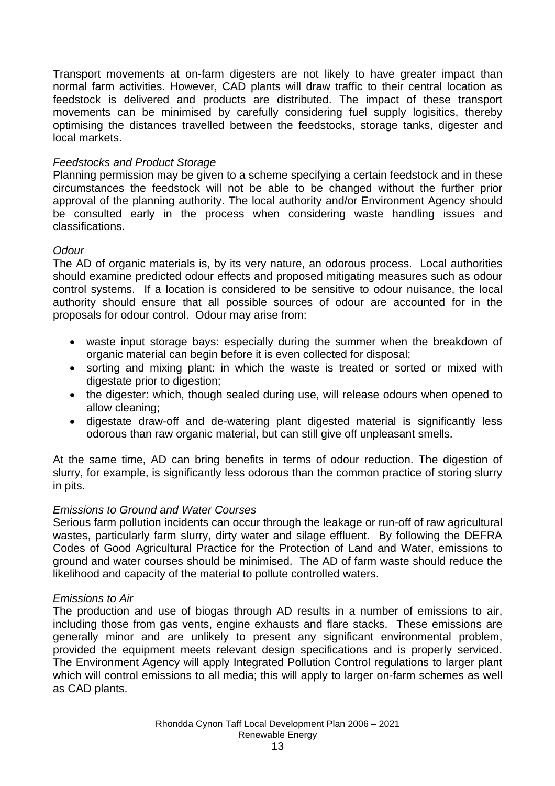Transport movements at on-farm digesters are not likely to have greater impact than normal farm activities. However, CAD plants will draw traffic to their central location as feedstock is delivered and products are distributed. The impact of these transport movements can be minimised by carefully considering fuel supply logisitics, thereby optimising the distances travelled between the feedstocks, storage tanks, digester and local markets.

### *Feedstocks and Product Storage*

Planning permission may be given to a scheme specifying a certain feedstock and in these circumstances the feedstock will not be able to be changed without the further prior approval of the planning authority. The local authority and/or Environment Agency should be consulted early in the process when considering waste handling issues and classifications.

## *Odour*

The AD of organic materials is, by its very nature, an odorous process. Local authorities should examine predicted odour effects and proposed mitigating measures such as odour control systems. If a location is considered to be sensitive to odour nuisance, the local authority should ensure that all possible sources of odour are accounted for in the proposals for odour control. Odour may arise from:

- waste input storage bays: especially during the summer when the breakdown of organic material can begin before it is even collected for disposal;
- sorting and mixing plant: in which the waste is treated or sorted or mixed with digestate prior to digestion;
- the digester: which, though sealed during use, will release odours when opened to allow cleaning;
- digestate draw-off and de-watering plant digested material is significantly less odorous than raw organic material, but can still give off unpleasant smells.

At the same time, AD can bring benefits in terms of odour reduction. The digestion of slurry, for example, is significantly less odorous than the common practice of storing slurry in pits.

### *Emissions to Ground and Water Courses*

Serious farm pollution incidents can occur through the leakage or run-off of raw agricultural wastes, particularly farm slurry, dirty water and silage effluent. By following the DEFRA Codes of Good Agricultural Practice for the Protection of Land and Water, emissions to ground and water courses should be minimised. The AD of farm waste should reduce the likelihood and capacity of the material to pollute controlled waters.

### *Emissions to Air*

The production and use of biogas through AD results in a number of emissions to air, including those from gas vents, engine exhausts and flare stacks. These emissions are generally minor and are unlikely to present any significant environmental problem, provided the equipment meets relevant design specifications and is properly serviced. The Environment Agency will apply Integrated Pollution Control regulations to larger plant which will control emissions to all media; this will apply to larger on-farm schemes as well as CAD plants.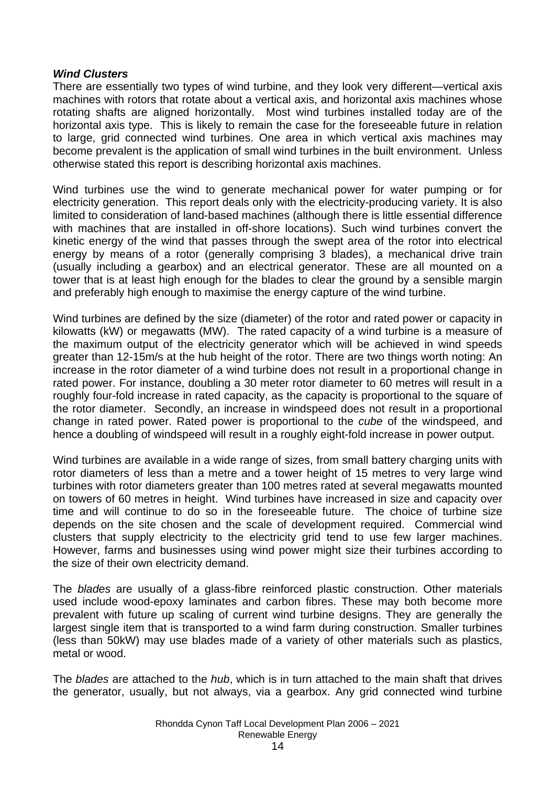### *Wind Clusters*

There are essentially two types of wind turbine, and they look very different—vertical axis machines with rotors that rotate about a vertical axis, and horizontal axis machines whose rotating shafts are aligned horizontally. Most wind turbines installed today are of the horizontal axis type. This is likely to remain the case for the foreseeable future in relation to large, grid connected wind turbines. One area in which vertical axis machines may become prevalent is the application of small wind turbines in the built environment. Unless otherwise stated this report is describing horizontal axis machines.

Wind turbines use the wind to generate mechanical power for water pumping or for electricity generation. This report deals only with the electricity-producing variety. It is also limited to consideration of land-based machines (although there is little essential difference with machines that are installed in off-shore locations). Such wind turbines convert the kinetic energy of the wind that passes through the swept area of the rotor into electrical energy by means of a rotor (generally comprising 3 blades), a mechanical drive train (usually including a gearbox) and an electrical generator. These are all mounted on a tower that is at least high enough for the blades to clear the ground by a sensible margin and preferably high enough to maximise the energy capture of the wind turbine.

Wind turbines are defined by the size (diameter) of the rotor and rated power or capacity in kilowatts (kW) or megawatts (MW). The rated capacity of a wind turbine is a measure of the maximum output of the electricity generator which will be achieved in wind speeds greater than 12-15m/s at the hub height of the rotor. There are two things worth noting: An increase in the rotor diameter of a wind turbine does not result in a proportional change in rated power. For instance, doubling a 30 meter rotor diameter to 60 metres will result in a roughly four-fold increase in rated capacity, as the capacity is proportional to the square of the rotor diameter. Secondly, an increase in windspeed does not result in a proportional change in rated power. Rated power is proportional to the *cube* of the windspeed, and hence a doubling of windspeed will result in a roughly eight-fold increase in power output.

Wind turbines are available in a wide range of sizes, from small battery charging units with rotor diameters of less than a metre and a tower height of 15 metres to very large wind turbines with rotor diameters greater than 100 metres rated at several megawatts mounted on towers of 60 metres in height. Wind turbines have increased in size and capacity over time and will continue to do so in the foreseeable future. The choice of turbine size depends on the site chosen and the scale of development required. Commercial wind clusters that supply electricity to the electricity grid tend to use few larger machines. However, farms and businesses using wind power might size their turbines according to the size of their own electricity demand.

The *blades* are usually of a glass-fibre reinforced plastic construction. Other materials used include wood-epoxy laminates and carbon fibres. These may both become more prevalent with future up scaling of current wind turbine designs. They are generally the largest single item that is transported to a wind farm during construction. Smaller turbines (less than 50kW) may use blades made of a variety of other materials such as plastics, metal or wood.

The *blades* are attached to the *hub*, which is in turn attached to the main shaft that drives the generator, usually, but not always, via a gearbox. Any grid connected wind turbine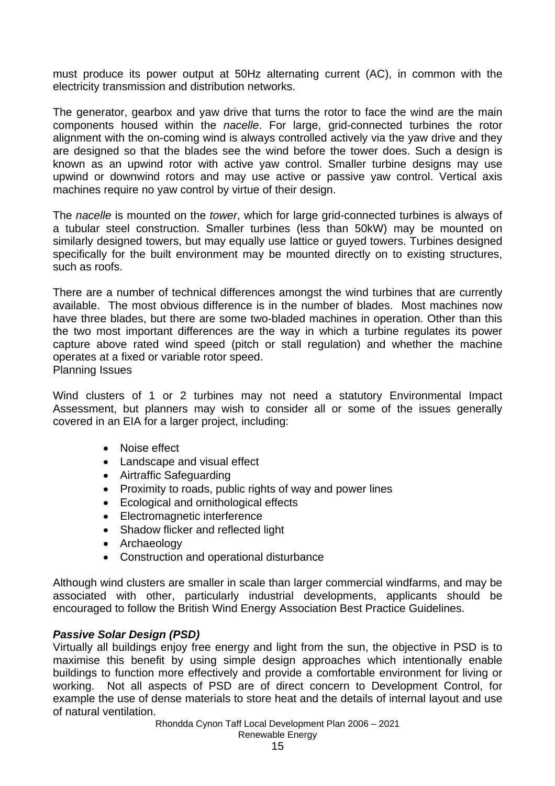must produce its power output at 50Hz alternating current (AC), in common with the electricity transmission and distribution networks.

The generator, gearbox and yaw drive that turns the rotor to face the wind are the main components housed within the *nacelle*. For large, grid-connected turbines the rotor alignment with the on-coming wind is always controlled actively via the yaw drive and they are designed so that the blades see the wind before the tower does. Such a design is known as an upwind rotor with active yaw control. Smaller turbine designs may use upwind or downwind rotors and may use active or passive yaw control. Vertical axis machines require no yaw control by virtue of their design.

The *nacelle* is mounted on the *tower*, which for large grid-connected turbines is always of a tubular steel construction. Smaller turbines (less than 50kW) may be mounted on similarly designed towers, but may equally use lattice or guyed towers. Turbines designed specifically for the built environment may be mounted directly on to existing structures, such as roofs.

There are a number of technical differences amongst the wind turbines that are currently available. The most obvious difference is in the number of blades. Most machines now have three blades, but there are some two-bladed machines in operation. Other than this the two most important differences are the way in which a turbine regulates its power capture above rated wind speed (pitch or stall regulation) and whether the machine operates at a fixed or variable rotor speed. Planning Issues

Wind clusters of 1 or 2 turbines may not need a statutory Environmental Impact Assessment, but planners may wish to consider all or some of the issues generally covered in an EIA for a larger project, including:

- Noise effect
- Landscape and visual effect
- Airtraffic Safeguarding
- Proximity to roads, public rights of way and power lines
- Ecological and ornithological effects
- Electromagnetic interference
- Shadow flicker and reflected light
- Archaeology
- Construction and operational disturbance

Although wind clusters are smaller in scale than larger commercial windfarms, and may be associated with other, particularly industrial developments, applicants should be encouraged to follow the British Wind Energy Association Best Practice Guidelines.

## *Passive Solar Design (PSD)*

Virtually all buildings enjoy free energy and light from the sun, the objective in PSD is to maximise this benefit by using simple design approaches which intentionally enable buildings to function more effectively and provide a comfortable environment for living or working. Not all aspects of PSD are of direct concern to Development Control, for example the use of dense materials to store heat and the details of internal layout and use of natural ventilation.

> Rhondda Cynon Taff Local Development Plan 2006 – 2021 Renewable Energy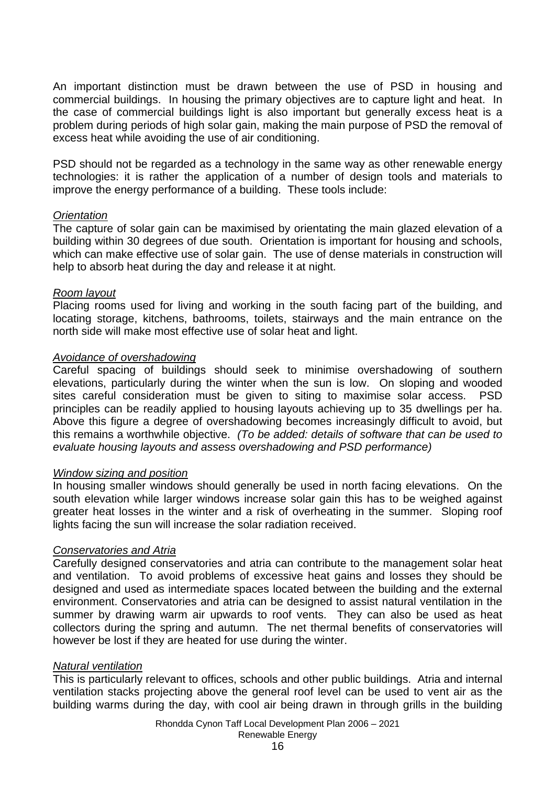An important distinction must be drawn between the use of PSD in housing and commercial buildings. In housing the primary objectives are to capture light and heat. In the case of commercial buildings light is also important but generally excess heat is a problem during periods of high solar gain, making the main purpose of PSD the removal of excess heat while avoiding the use of air conditioning.

PSD should not be regarded as a technology in the same way as other renewable energy technologies: it is rather the application of a number of design tools and materials to improve the energy performance of a building. These tools include:

### *Orientation*

The capture of solar gain can be maximised by orientating the main glazed elevation of a building within 30 degrees of due south. Orientation is important for housing and schools, which can make effective use of solar gain. The use of dense materials in construction will help to absorb heat during the day and release it at night.

### *Room layout*

Placing rooms used for living and working in the south facing part of the building, and locating storage, kitchens, bathrooms, toilets, stairways and the main entrance on the north side will make most effective use of solar heat and light.

### *Avoidance of overshadowing*

Careful spacing of buildings should seek to minimise overshadowing of southern elevations, particularly during the winter when the sun is low. On sloping and wooded sites careful consideration must be given to siting to maximise solar access. PSD principles can be readily applied to housing layouts achieving up to 35 dwellings per ha. Above this figure a degree of overshadowing becomes increasingly difficult to avoid, but this remains a worthwhile objective. *(To be added: details of software that can be used to evaluate housing layouts and assess overshadowing and PSD performance)* 

#### *Window sizing and position*

In housing smaller windows should generally be used in north facing elevations. On the south elevation while larger windows increase solar gain this has to be weighed against greater heat losses in the winter and a risk of overheating in the summer. Sloping roof lights facing the sun will increase the solar radiation received.

#### *Conservatories and Atria*

Carefully designed conservatories and atria can contribute to the management solar heat and ventilation. To avoid problems of excessive heat gains and losses they should be designed and used as intermediate spaces located between the building and the external environment. Conservatories and atria can be designed to assist natural ventilation in the summer by drawing warm air upwards to roof vents. They can also be used as heat collectors during the spring and autumn. The net thermal benefits of conservatories will however be lost if they are heated for use during the winter.

#### *Natural ventilation*

This is particularly relevant to offices, schools and other public buildings. Atria and internal ventilation stacks projecting above the general roof level can be used to vent air as the building warms during the day, with cool air being drawn in through grills in the building

> Rhondda Cynon Taff Local Development Plan 2006 – 2021 Renewable Energy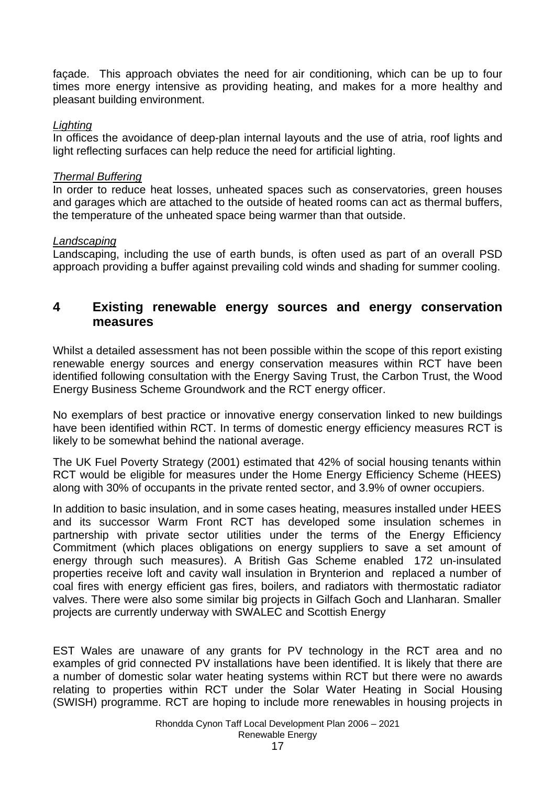façade. This approach obviates the need for air conditioning, which can be up to four times more energy intensive as providing heating, and makes for a more healthy and pleasant building environment.

### *Lighting*

In offices the avoidance of deep-plan internal layouts and the use of atria, roof lights and light reflecting surfaces can help reduce the need for artificial lighting.

## *Thermal Buffering*

In order to reduce heat losses, unheated spaces such as conservatories, green houses and garages which are attached to the outside of heated rooms can act as thermal buffers, the temperature of the unheated space being warmer than that outside.

## *Landscaping*

Landscaping, including the use of earth bunds, is often used as part of an overall PSD approach providing a buffer against prevailing cold winds and shading for summer cooling.

## **4 Existing renewable energy sources and energy conservation measures**

Whilst a detailed assessment has not been possible within the scope of this report existing renewable energy sources and energy conservation measures within RCT have been identified following consultation with the Energy Saving Trust, the Carbon Trust, the Wood Energy Business Scheme Groundwork and the RCT energy officer.

No exemplars of best practice or innovative energy conservation linked to new buildings have been identified within RCT. In terms of domestic energy efficiency measures RCT is likely to be somewhat behind the national average.

The UK Fuel Poverty Strategy (2001) estimated that 42% of social housing tenants within RCT would be eligible for measures under the Home Energy Efficiency Scheme (HEES) along with 30% of occupants in the private rented sector, and 3.9% of owner occupiers.

In addition to basic insulation, and in some cases heating, measures installed under HEES and its successor Warm Front RCT has developed some insulation schemes in partnership with private sector utilities under the terms of the Energy Efficiency Commitment (which places obligations on energy suppliers to save a set amount of energy through such measures). A British Gas Scheme enabled 172 un-insulated properties receive loft and cavity wall insulation in Brynterion and replaced a number of coal fires with energy efficient gas fires, boilers, and radiators with thermostatic radiator valves. There were also some similar big projects in Gilfach Goch and Llanharan. Smaller projects are currently underway with SWALEC and Scottish Energy

EST Wales are unaware of any grants for PV technology in the RCT area and no examples of grid connected PV installations have been identified. It is likely that there are a number of domestic solar water heating systems within RCT but there were no awards relating to properties within RCT under the Solar Water Heating in Social Housing (SWISH) programme. RCT are hoping to include more renewables in housing projects in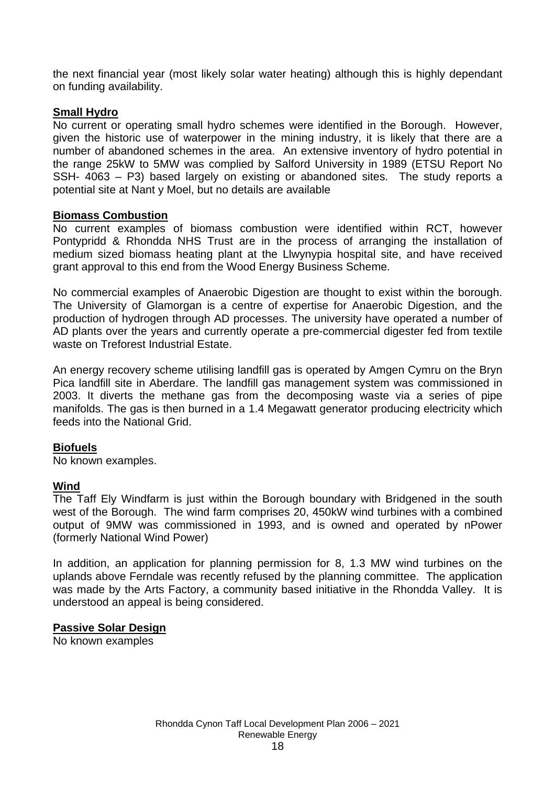the next financial year (most likely solar water heating) although this is highly dependant on funding availability.

### **Small Hydro**

No current or operating small hydro schemes were identified in the Borough. However, given the historic use of waterpower in the mining industry, it is likely that there are a number of abandoned schemes in the area. An extensive inventory of hydro potential in the range 25kW to 5MW was complied by Salford University in 1989 (ETSU Report No SSH- 4063 – P3) based largely on existing or abandoned sites. The study reports a potential site at Nant y Moel, but no details are available

### **Biomass Combustion**

No current examples of biomass combustion were identified within RCT, however Pontypridd & Rhondda NHS Trust are in the process of arranging the installation of medium sized biomass heating plant at the Llwynypia hospital site, and have received grant approval to this end from the Wood Energy Business Scheme.

No commercial examples of Anaerobic Digestion are thought to exist within the borough. The University of Glamorgan is a centre of expertise for Anaerobic Digestion, and the production of hydrogen through AD processes. The university have operated a number of AD plants over the years and currently operate a pre-commercial digester fed from textile waste on Treforest Industrial Estate.

An energy recovery scheme utilising landfill gas is operated by Amgen Cymru on the Bryn Pica landfill site in Aberdare. The landfill gas management system was commissioned in 2003. It diverts the methane gas from the decomposing waste via a series of pipe manifolds. The gas is then burned in a 1.4 Megawatt generator producing electricity which feeds into the National Grid.

### **Biofuels**

No known examples.

### **Wind**

The Taff Ely Windfarm is just within the Borough boundary with Bridgened in the south west of the Borough. The wind farm comprises 20, 450kW wind turbines with a combined output of 9MW was commissioned in 1993, and is owned and operated by nPower (formerly National Wind Power)

In addition, an application for planning permission for 8, 1.3 MW wind turbines on the uplands above Ferndale was recently refused by the planning committee. The application was made by the Arts Factory, a community based initiative in the Rhondda Valley. It is understood an appeal is being considered.

### **Passive Solar Design**

No known examples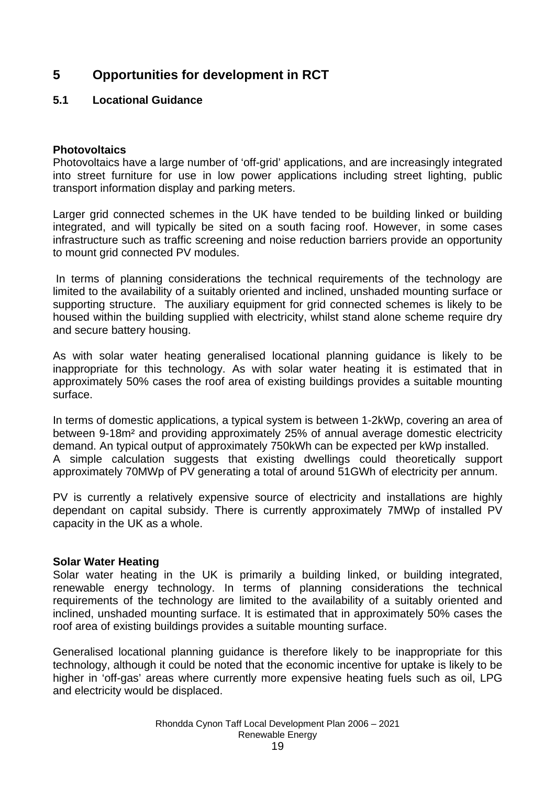## **5 Opportunities for development in RCT**

## **5.1 Locational Guidance**

### **Photovoltaics**

Photovoltaics have a large number of 'off-grid' applications, and are increasingly integrated into street furniture for use in low power applications including street lighting, public transport information display and parking meters.

Larger grid connected schemes in the UK have tended to be building linked or building integrated, and will typically be sited on a south facing roof. However, in some cases infrastructure such as traffic screening and noise reduction barriers provide an opportunity to mount grid connected PV modules.

In terms of planning considerations the technical requirements of the technology are limited to the availability of a suitably oriented and inclined, unshaded mounting surface or supporting structure. The auxiliary equipment for grid connected schemes is likely to be housed within the building supplied with electricity, whilst stand alone scheme require dry and secure battery housing.

As with solar water heating generalised locational planning guidance is likely to be inappropriate for this technology. As with solar water heating it is estimated that in approximately 50% cases the roof area of existing buildings provides a suitable mounting surface.

In terms of domestic applications, a typical system is between 1-2kWp, covering an area of between 9-18m² and providing approximately 25% of annual average domestic electricity demand. An typical output of approximately 750kWh can be expected per kWp installed. A simple calculation suggests that existing dwellings could theoretically support approximately 70MWp of PV generating a total of around 51GWh of electricity per annum.

PV is currently a relatively expensive source of electricity and installations are highly dependant on capital subsidy. There is currently approximately 7MWp of installed PV capacity in the UK as a whole.

### **Solar Water Heating**

Solar water heating in the UK is primarily a building linked, or building integrated, renewable energy technology. In terms of planning considerations the technical requirements of the technology are limited to the availability of a suitably oriented and inclined, unshaded mounting surface. It is estimated that in approximately 50% cases the roof area of existing buildings provides a suitable mounting surface.

Generalised locational planning guidance is therefore likely to be inappropriate for this technology, although it could be noted that the economic incentive for uptake is likely to be higher in 'off-gas' areas where currently more expensive heating fuels such as oil, LPG and electricity would be displaced.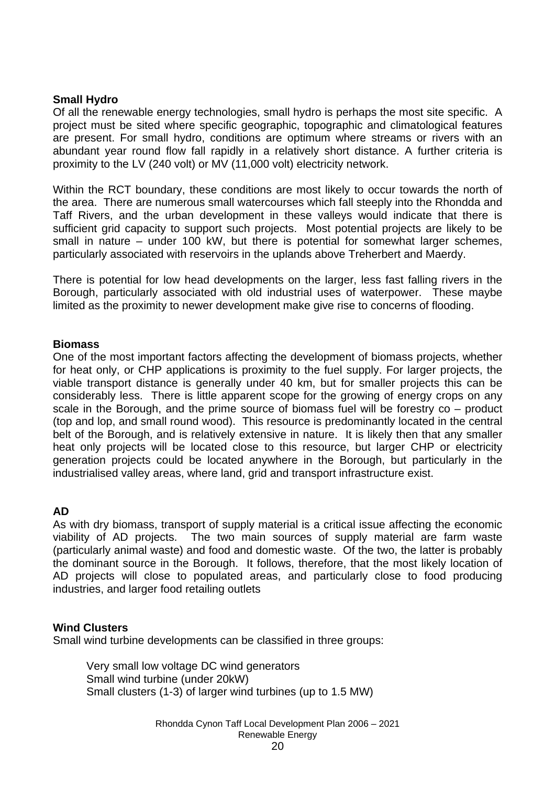### **Small Hydro**

Of all the renewable energy technologies, small hydro is perhaps the most site specific. A project must be sited where specific geographic, topographic and climatological features are present. For small hydro, conditions are optimum where streams or rivers with an abundant year round flow fall rapidly in a relatively short distance. A further criteria is proximity to the LV (240 volt) or MV (11,000 volt) electricity network.

Within the RCT boundary, these conditions are most likely to occur towards the north of the area. There are numerous small watercourses which fall steeply into the Rhondda and Taff Rivers, and the urban development in these valleys would indicate that there is sufficient grid capacity to support such projects. Most potential projects are likely to be small in nature – under 100 kW, but there is potential for somewhat larger schemes, particularly associated with reservoirs in the uplands above Treherbert and Maerdy.

There is potential for low head developments on the larger, less fast falling rivers in the Borough, particularly associated with old industrial uses of waterpower. These maybe limited as the proximity to newer development make give rise to concerns of flooding.

### **Biomass**

One of the most important factors affecting the development of biomass projects, whether for heat only, or CHP applications is proximity to the fuel supply. For larger projects, the viable transport distance is generally under 40 km, but for smaller projects this can be considerably less. There is little apparent scope for the growing of energy crops on any scale in the Borough, and the prime source of biomass fuel will be forestry co – product (top and lop, and small round wood). This resource is predominantly located in the central belt of the Borough, and is relatively extensive in nature. It is likely then that any smaller heat only projects will be located close to this resource, but larger CHP or electricity generation projects could be located anywhere in the Borough, but particularly in the industrialised valley areas, where land, grid and transport infrastructure exist.

#### **AD**

As with dry biomass, transport of supply material is a critical issue affecting the economic viability of AD projects. The two main sources of supply material are farm waste (particularly animal waste) and food and domestic waste. Of the two, the latter is probably the dominant source in the Borough. It follows, therefore, that the most likely location of AD projects will close to populated areas, and particularly close to food producing industries, and larger food retailing outlets

#### **Wind Clusters**

Small wind turbine developments can be classified in three groups:

Very small low voltage DC wind generators Small wind turbine (under 20kW) Small clusters (1-3) of larger wind turbines (up to 1.5 MW)

> Rhondda Cynon Taff Local Development Plan 2006 – 2021 Renewable Energy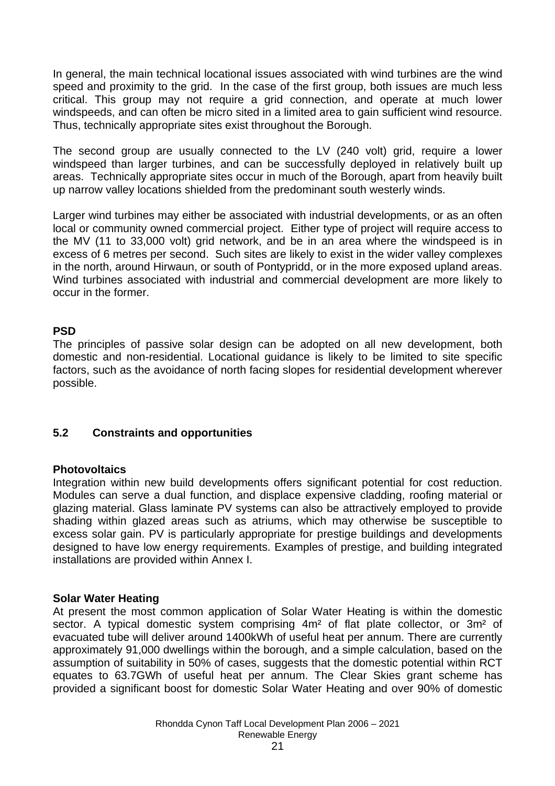In general, the main technical locational issues associated with wind turbines are the wind speed and proximity to the grid. In the case of the first group, both issues are much less critical. This group may not require a grid connection, and operate at much lower windspeeds, and can often be micro sited in a limited area to gain sufficient wind resource. Thus, technically appropriate sites exist throughout the Borough.

The second group are usually connected to the LV (240 volt) grid, require a lower windspeed than larger turbines, and can be successfully deployed in relatively built up areas. Technically appropriate sites occur in much of the Borough, apart from heavily built up narrow valley locations shielded from the predominant south westerly winds.

Larger wind turbines may either be associated with industrial developments, or as an often local or community owned commercial project. Either type of project will require access to the MV (11 to 33,000 volt) grid network, and be in an area where the windspeed is in excess of 6 metres per second. Such sites are likely to exist in the wider valley complexes in the north, around Hirwaun, or south of Pontypridd, or in the more exposed upland areas. Wind turbines associated with industrial and commercial development are more likely to occur in the former.

## **PSD**

The principles of passive solar design can be adopted on all new development, both domestic and non-residential. Locational guidance is likely to be limited to site specific factors, such as the avoidance of north facing slopes for residential development wherever possible.

## **5.2 Constraints and opportunities**

### **Photovoltaics**

Integration within new build developments offers significant potential for cost reduction. Modules can serve a dual function, and displace expensive cladding, roofing material or glazing material. Glass laminate PV systems can also be attractively employed to provide shading within glazed areas such as atriums, which may otherwise be susceptible to excess solar gain. PV is particularly appropriate for prestige buildings and developments designed to have low energy requirements. Examples of prestige, and building integrated installations are provided within Annex I.

### **Solar Water Heating**

At present the most common application of Solar Water Heating is within the domestic sector. A typical domestic system comprising 4m<sup>2</sup> of flat plate collector, or 3m<sup>2</sup> of evacuated tube will deliver around 1400kWh of useful heat per annum. There are currently approximately 91,000 dwellings within the borough, and a simple calculation, based on the assumption of suitability in 50% of cases, suggests that the domestic potential within RCT equates to 63.7GWh of useful heat per annum. The Clear Skies grant scheme has provided a significant boost for domestic Solar Water Heating and over 90% of domestic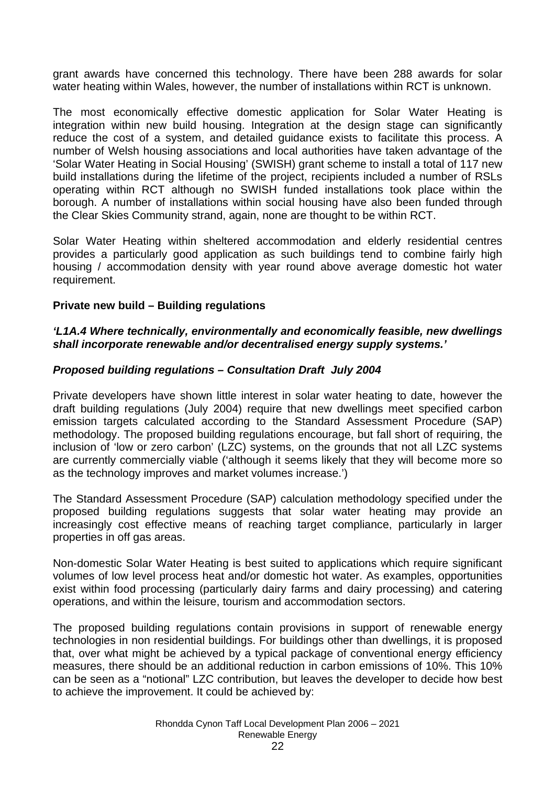grant awards have concerned this technology. There have been 288 awards for solar water heating within Wales, however, the number of installations within RCT is unknown.

The most economically effective domestic application for Solar Water Heating is integration within new build housing. Integration at the design stage can significantly reduce the cost of a system, and detailed guidance exists to facilitate this process. A number of Welsh housing associations and local authorities have taken advantage of the 'Solar Water Heating in Social Housing' (SWISH) grant scheme to install a total of 117 new build installations during the lifetime of the project, recipients included a number of RSLs operating within RCT although no SWISH funded installations took place within the borough. A number of installations within social housing have also been funded through the Clear Skies Community strand, again, none are thought to be within RCT.

Solar Water Heating within sheltered accommodation and elderly residential centres provides a particularly good application as such buildings tend to combine fairly high housing / accommodation density with year round above average domestic hot water requirement.

### **Private new build – Building regulations**

### *'L1A.4 Where technically, environmentally and economically feasible, new dwellings shall incorporate renewable and/or decentralised energy supply systems.'*

### *Proposed building regulations – Consultation Draft July 2004*

Private developers have shown little interest in solar water heating to date, however the draft building regulations (July 2004) require that new dwellings meet specified carbon emission targets calculated according to the Standard Assessment Procedure (SAP) methodology. The proposed building regulations encourage, but fall short of requiring, the inclusion of 'low or zero carbon' (LZC) systems, on the grounds that not all LZC systems are currently commercially viable ('although it seems likely that they will become more so as the technology improves and market volumes increase.')

The Standard Assessment Procedure (SAP) calculation methodology specified under the proposed building regulations suggests that solar water heating may provide an increasingly cost effective means of reaching target compliance, particularly in larger properties in off gas areas.

Non-domestic Solar Water Heating is best suited to applications which require significant volumes of low level process heat and/or domestic hot water. As examples, opportunities exist within food processing (particularly dairy farms and dairy processing) and catering operations, and within the leisure, tourism and accommodation sectors.

The proposed building regulations contain provisions in support of renewable energy technologies in non residential buildings. For buildings other than dwellings, it is proposed that, over what might be achieved by a typical package of conventional energy efficiency measures, there should be an additional reduction in carbon emissions of 10%. This 10% can be seen as a "notional" LZC contribution, but leaves the developer to decide how best to achieve the improvement. It could be achieved by: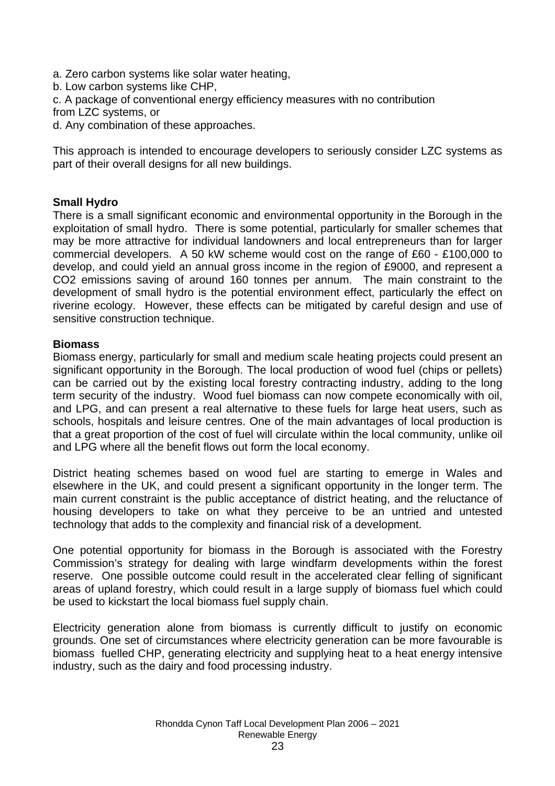- a. Zero carbon systems like solar water heating,
- b. Low carbon systems like CHP,
- c. A package of conventional energy efficiency measures with no contribution
- from LZC systems, or
- d. Any combination of these approaches.

This approach is intended to encourage developers to seriously consider LZC systems as part of their overall designs for all new buildings.

## **Small Hydro**

There is a small significant economic and environmental opportunity in the Borough in the exploitation of small hydro. There is some potential, particularly for smaller schemes that may be more attractive for individual landowners and local entrepreneurs than for larger commercial developers. A 50 kW scheme would cost on the range of £60 - £100,000 to develop, and could yield an annual gross income in the region of £9000, and represent a CO2 emissions saving of around 160 tonnes per annum. The main constraint to the development of small hydro is the potential environment effect, particularly the effect on riverine ecology. However, these effects can be mitigated by careful design and use of sensitive construction technique.

### **Biomass**

Biomass energy, particularly for small and medium scale heating projects could present an significant opportunity in the Borough. The local production of wood fuel (chips or pellets) can be carried out by the existing local forestry contracting industry, adding to the long term security of the industry. Wood fuel biomass can now compete economically with oil, and LPG, and can present a real alternative to these fuels for large heat users, such as schools, hospitals and leisure centres. One of the main advantages of local production is that a great proportion of the cost of fuel will circulate within the local community, unlike oil and LPG where all the benefit flows out form the local economy.

District heating schemes based on wood fuel are starting to emerge in Wales and elsewhere in the UK, and could present a significant opportunity in the longer term. The main current constraint is the public acceptance of district heating, and the reluctance of housing developers to take on what they perceive to be an untried and untested technology that adds to the complexity and financial risk of a development.

One potential opportunity for biomass in the Borough is associated with the Forestry Commission's strategy for dealing with large windfarm developments within the forest reserve. One possible outcome could result in the accelerated clear felling of significant areas of upland forestry, which could result in a large supply of biomass fuel which could be used to kickstart the local biomass fuel supply chain.

Electricity generation alone from biomass is currently difficult to justify on economic grounds. One set of circumstances where electricity generation can be more favourable is biomass fuelled CHP, generating electricity and supplying heat to a heat energy intensive industry, such as the dairy and food processing industry.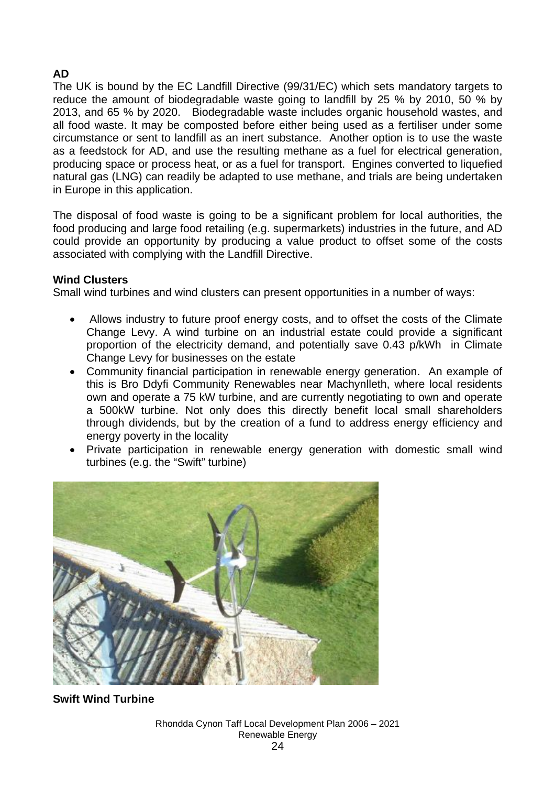## **AD**

The UK is bound by the EC Landfill Directive (99/31/EC) which sets mandatory targets to reduce the amount of biodegradable waste going to landfill by 25 % by 2010, 50 % by 2013, and 65 % by 2020. Biodegradable waste includes organic household wastes, and all food waste. It may be composted before either being used as a fertiliser under some circumstance or sent to landfill as an inert substance. Another option is to use the waste as a feedstock for AD, and use the resulting methane as a fuel for electrical generation, producing space or process heat, or as a fuel for transport. Engines converted to liquefied natural gas (LNG) can readily be adapted to use methane, and trials are being undertaken in Europe in this application.

The disposal of food waste is going to be a significant problem for local authorities, the food producing and large food retailing (e.g. supermarkets) industries in the future, and AD could provide an opportunity by producing a value product to offset some of the costs associated with complying with the Landfill Directive.

## **Wind Clusters**

Small wind turbines and wind clusters can present opportunities in a number of ways:

- Allows industry to future proof energy costs, and to offset the costs of the Climate Change Levy. A wind turbine on an industrial estate could provide a significant proportion of the electricity demand, and potentially save 0.43 p/kWh in Climate Change Levy for businesses on the estate
- Community financial participation in renewable energy generation. An example of this is Bro Ddyfi Community Renewables near Machynlleth, where local residents own and operate a 75 kW turbine, and are currently negotiating to own and operate a 500kW turbine. Not only does this directly benefit local small shareholders through dividends, but by the creation of a fund to address energy efficiency and energy poverty in the locality
- Private participation in renewable energy generation with domestic small wind turbines (e.g. the "Swift" turbine)



**Swift Wind Turbine**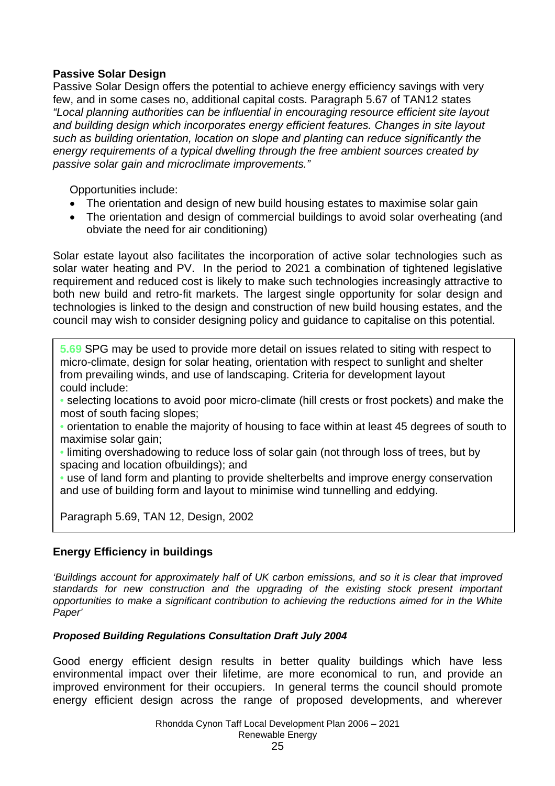## **Passive Solar Design**

Passive Solar Design offers the potential to achieve energy efficiency savings with very few, and in some cases no, additional capital costs. Paragraph 5.67 of TAN12 states *"Local planning authorities can be influential in encouraging resource efficient site layout and building design which incorporates energy efficient features. Changes in site layout such as building orientation, location on slope and planting can reduce significantly the energy requirements of a typical dwelling through the free ambient sources created by passive solar gain and microclimate improvements."* 

Opportunities include:

- The orientation and design of new build housing estates to maximise solar gain
- The orientation and design of commercial buildings to avoid solar overheating (and obviate the need for air conditioning)

Solar estate layout also facilitates the incorporation of active solar technologies such as solar water heating and PV. In the period to 2021 a combination of tightened legislative requirement and reduced cost is likely to make such technologies increasingly attractive to both new build and retro-fit markets. The largest single opportunity for solar design and technologies is linked to the design and construction of new build housing estates, and the council may wish to consider designing policy and guidance to capitalise on this potential.

**5.69** SPG may be used to provide more detail on issues related to siting with respect to micro-climate, design for solar heating, orientation with respect to sunlight and shelter from prevailing winds, and use of landscaping. Criteria for development layout could include:

- selecting locations to avoid poor micro-climate (hill crests or frost pockets) and make the most of south facing slopes;
- orientation to enable the majority of housing to face within at least 45 degrees of south to maximise solar gain;
- limiting overshadowing to reduce loss of solar gain (not through loss of trees, but by spacing and location ofbuildings); and
- use of land form and planting to provide shelterbelts and improve energy conservation and use of building form and layout to minimise wind tunnelling and eddying.

Paragraph 5.69, TAN 12, Design, 2002

## **Energy Efficiency in buildings**

*'Buildings account for approximately half of UK carbon emissions, and so it is clear that improved standards for new construction and the upgrading of the existing stock present important opportunities to make a significant contribution to achieving the reductions aimed for in the White Paper'*

### *Proposed Building Regulations Consultation Draft July 2004*

Good energy efficient design results in better quality buildings which have less environmental impact over their lifetime, are more economical to run, and provide an improved environment for their occupiers. In general terms the council should promote energy efficient design across the range of proposed developments, and wherever

> Rhondda Cynon Taff Local Development Plan 2006 – 2021 Renewable Energy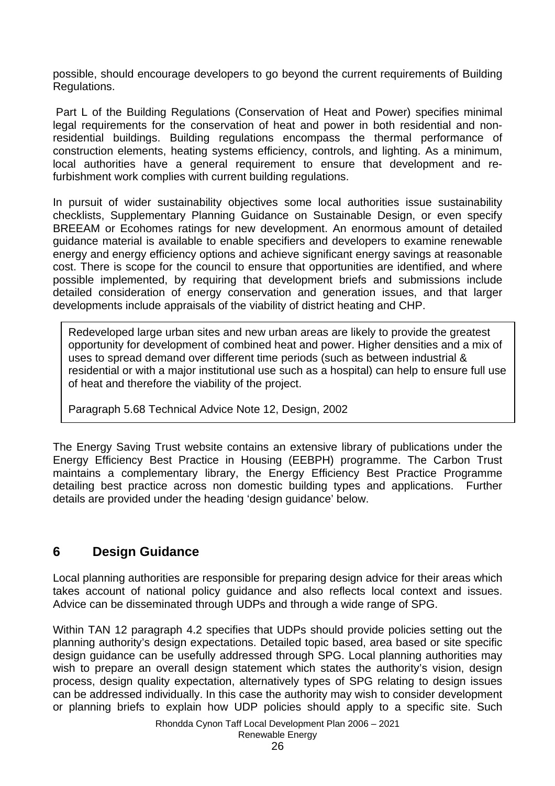possible, should encourage developers to go beyond the current requirements of Building Regulations.

Part L of the Building Regulations (Conservation of Heat and Power) specifies minimal legal requirements for the conservation of heat and power in both residential and nonresidential buildings. Building regulations encompass the thermal performance of construction elements, heating systems efficiency, controls, and lighting. As a minimum, local authorities have a general requirement to ensure that development and refurbishment work complies with current building regulations.

In pursuit of wider sustainability objectives some local authorities issue sustainability checklists, Supplementary Planning Guidance on Sustainable Design, or even specify BREEAM or Ecohomes ratings for new development. An enormous amount of detailed guidance material is available to enable specifiers and developers to examine renewable energy and energy efficiency options and achieve significant energy savings at reasonable cost. There is scope for the council to ensure that opportunities are identified, and where possible implemented, by requiring that development briefs and submissions include detailed consideration of energy conservation and generation issues, and that larger developments include appraisals of the viability of district heating and CHP.

Redeveloped large urban sites and new urban areas are likely to provide the greatest opportunity for development of combined heat and power. Higher densities and a mix of uses to spread demand over different time periods (such as between industrial & residential or with a major institutional use such as a hospital) can help to ensure full use of heat and therefore the viability of the project.

Paragraph 5.68 Technical Advice Note 12, Design, 2002

The Energy Saving Trust website contains an extensive library of publications under the Energy Efficiency Best Practice in Housing (EEBPH) programme. The Carbon Trust maintains a complementary library, the Energy Efficiency Best Practice Programme detailing best practice across non domestic building types and applications. Further details are provided under the heading 'design guidance' below.

# **6 Design Guidance**

Local planning authorities are responsible for preparing design advice for their areas which takes account of national policy guidance and also reflects local context and issues. Advice can be disseminated through UDPs and through a wide range of SPG.

Within TAN 12 paragraph 4.2 specifies that UDPs should provide policies setting out the planning authority's design expectations. Detailed topic based, area based or site specific design guidance can be usefully addressed through SPG. Local planning authorities may wish to prepare an overall design statement which states the authority's vision, design process, design quality expectation, alternatively types of SPG relating to design issues can be addressed individually. In this case the authority may wish to consider development or planning briefs to explain how UDP policies should apply to a specific site. Such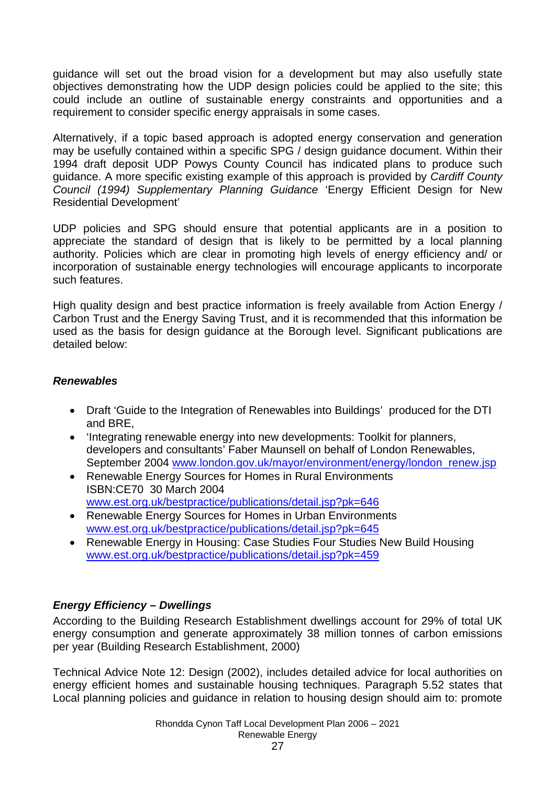guidance will set out the broad vision for a development but may also usefully state objectives demonstrating how the UDP design policies could be applied to the site; this could include an outline of sustainable energy constraints and opportunities and a requirement to consider specific energy appraisals in some cases.

Alternatively, if a topic based approach is adopted energy conservation and generation may be usefully contained within a specific SPG / design guidance document. Within their 1994 draft deposit UDP Powys County Council has indicated plans to produce such guidance. A more specific existing example of this approach is provided by *Cardiff County Council (1994) Supplementary Planning Guidance* 'Energy Efficient Design for New Residential Development'

UDP policies and SPG should ensure that potential applicants are in a position to appreciate the standard of design that is likely to be permitted by a local planning authority. Policies which are clear in promoting high levels of energy efficiency and/ or incorporation of sustainable energy technologies will encourage applicants to incorporate such features.

High quality design and best practice information is freely available from Action Energy / Carbon Trust and the Energy Saving Trust, and it is recommended that this information be used as the basis for design guidance at the Borough level. Significant publications are detailed below:

## *Renewables*

- Draft 'Guide to the Integration of Renewables into Buildings' produced for the DTI and BRE,
- 'Integrating renewable energy into new developments: Toolkit for planners, developers and consultants' Faber Maunsell on behalf of London Renewables, September 2004 www.london.gov.uk/mayor/environment/energy/london\_renew.jsp
- Renewable Energy Sources for Homes in Rural Environments ISBN:CE70 30 March 2004 www.est.org.uk/bestpractice/publications/detail.jsp?pk=646
- Renewable Energy Sources for Homes in Urban Environments www.est.org.uk/bestpractice/publications/detail.jsp?pk=645
- Renewable Energy in Housing: Case Studies Four Studies New Build Housing www.est.org.uk/bestpractice/publications/detail.jsp?pk=459

## *Energy Efficiency – Dwellings*

According to the Building Research Establishment dwellings account for 29% of total UK energy consumption and generate approximately 38 million tonnes of carbon emissions per year (Building Research Establishment, 2000)

Technical Advice Note 12: Design (2002), includes detailed advice for local authorities on energy efficient homes and sustainable housing techniques. Paragraph 5.52 states that Local planning policies and guidance in relation to housing design should aim to: promote

> Rhondda Cynon Taff Local Development Plan 2006 – 2021 Renewable Energy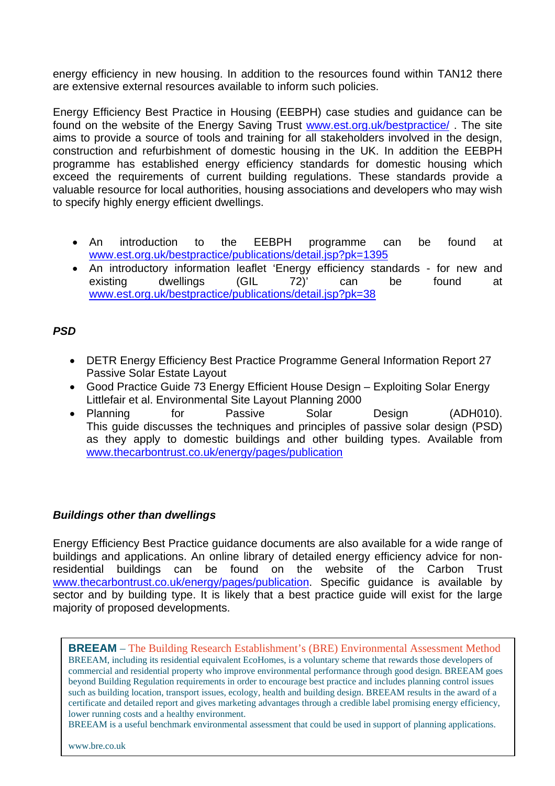energy efficiency in new housing. In addition to the resources found within TAN12 there are extensive external resources available to inform such policies.

Energy Efficiency Best Practice in Housing (EEBPH) case studies and guidance can be found on the website of the Energy Saving Trust www.est.org.uk/bestpractice/. The site aims to provide a source of tools and training for all stakeholders involved in the design, construction and refurbishment of domestic housing in the UK. In addition the EEBPH programme has established energy efficiency standards for domestic housing which exceed the requirements of current building regulations. These standards provide a valuable resource for local authorities, housing associations and developers who may wish to specify highly energy efficient dwellings.

- An introduction to the EEBPH programme can be found at www.est.org.uk/bestpractice/publications/detail.jsp?pk=1395
- An introductory information leaflet 'Energy efficiency standards for new and existing dwellings (GIL 72)' can be found at dwellings  $(GIL \t 72)^7$  can be found at www.est.org.uk/bestpractice/publications/detail.jsp?pk=38

## *PSD*

- DETR Energy Efficiency Best Practice Programme General Information Report 27 Passive Solar Estate Layout
- Good Practice Guide 73 Energy Efficient House Design Exploiting Solar Energy Littlefair et al. Environmental Site Layout Planning 2000
- Planning for Passive Solar Design (ADH010). This guide discusses the techniques and principles of passive solar design (PSD) as they apply to domestic buildings and other building types. Available from www.thecarbontrust.co.uk/energy/pages/publication

### *Buildings other than dwellings*

Energy Efficiency Best Practice guidance documents are also available for a wide range of buildings and applications. An online library of detailed energy efficiency advice for nonresidential buildings can be found on the website of the Carbon Trust www.thecarbontrust.co.uk/energy/pages/publication. Specific guidance is available by sector and by building type. It is likely that a best practice guide will exist for the large majority of proposed developments.

**BREEAM** – The Building Research Establishment's (BRE) Environmental Assessment Method BREEAM, including its residential equivalent EcoHomes, is a voluntary scheme that rewards those developers of commercial and residential property who improve environmental performance through good design. BREEAM goes beyond Building Regulation requirements in order to encourage best practice and includes planning control issues such as building location, transport issues, ecology, health and building design. BREEAM results in the award of a certificate and detailed report and gives marketing advantages through a credible label promising energy efficiency, lower running costs and a healthy environment.

BREEAM is a useful benchmark environmental assessment that could be used in support of planning applications.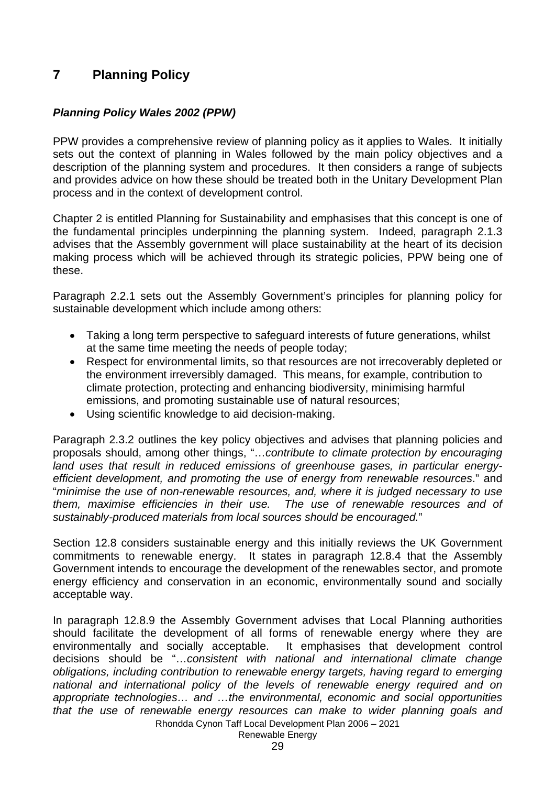## **7 Planning Policy**

## *Planning Policy Wales 2002 (PPW)*

PPW provides a comprehensive review of planning policy as it applies to Wales. It initially sets out the context of planning in Wales followed by the main policy objectives and a description of the planning system and procedures. It then considers a range of subjects and provides advice on how these should be treated both in the Unitary Development Plan process and in the context of development control.

Chapter 2 is entitled Planning for Sustainability and emphasises that this concept is one of the fundamental principles underpinning the planning system. Indeed, paragraph 2.1.3 advises that the Assembly government will place sustainability at the heart of its decision making process which will be achieved through its strategic policies, PPW being one of these.

Paragraph 2.2.1 sets out the Assembly Government's principles for planning policy for sustainable development which include among others:

- Taking a long term perspective to safeguard interests of future generations, whilst at the same time meeting the needs of people today;
- Respect for environmental limits, so that resources are not irrecoverably depleted or the environment irreversibly damaged. This means, for example, contribution to climate protection, protecting and enhancing biodiversity, minimising harmful emissions, and promoting sustainable use of natural resources;
- Using scientific knowledge to aid decision-making.

Paragraph 2.3.2 outlines the key policy objectives and advises that planning policies and proposals should, among other things, "…*contribute to climate protection by encouraging land uses that result in reduced emissions of greenhouse gases, in particular energyefficient development, and promoting the use of energy from renewable resources*." and "*minimise the use of non-renewable resources, and, where it is judged necessary to use them, maximise efficiencies in their use. The use of renewable resources and of sustainably-produced materials from local sources should be encouraged.*"

Section 12.8 considers sustainable energy and this initially reviews the UK Government commitments to renewable energy. It states in paragraph 12.8.4 that the Assembly Government intends to encourage the development of the renewables sector, and promote energy efficiency and conservation in an economic, environmentally sound and socially acceptable way.

Rhondda Cynon Taff Local Development Plan 2006 – 2021 In paragraph 12.8.9 the Assembly Government advises that Local Planning authorities should facilitate the development of all forms of renewable energy where they are environmentally and socially acceptable. It emphasises that development control decisions should be "…*consistent with national and international climate change obligations, including contribution to renewable energy targets, having regard to emerging national and international policy of the levels of renewable energy required and on appropriate technologies… and …the environmental, economic and social opportunities that the use of renewable energy resources can make to wider planning goals and* 

Renewable Energy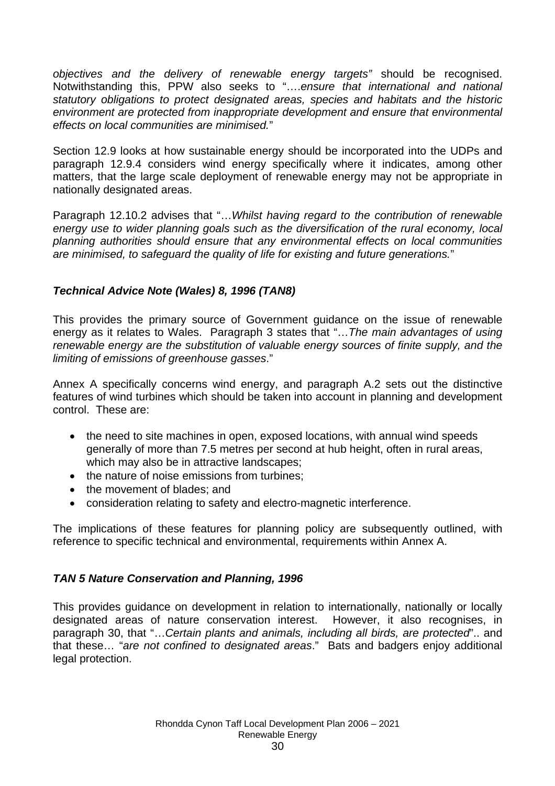*objectives and the delivery of renewable energy targets"* should be recognised. Notwithstanding this, PPW also seeks to "….*ensure that international and national statutory obligations to protect designated areas, species and habitats and the historic environment are protected from inappropriate development and ensure that environmental effects on local communities are minimised.*"

Section 12.9 looks at how sustainable energy should be incorporated into the UDPs and paragraph 12.9.4 considers wind energy specifically where it indicates, among other matters, that the large scale deployment of renewable energy may not be appropriate in nationally designated areas.

Paragraph 12.10.2 advises that "…*Whilst having regard to the contribution of renewable energy use to wider planning goals such as the diversification of the rural economy, local planning authorities should ensure that any environmental effects on local communities are minimised, to safeguard the quality of life for existing and future generations.*"

## *Technical Advice Note (Wales) 8, 1996 (TAN8)*

This provides the primary source of Government guidance on the issue of renewable energy as it relates to Wales. Paragraph 3 states that "…*The main advantages of using renewable energy are the substitution of valuable energy sources of finite supply, and the limiting of emissions of greenhouse gasses*."

Annex A specifically concerns wind energy, and paragraph A.2 sets out the distinctive features of wind turbines which should be taken into account in planning and development control. These are:

- the need to site machines in open, exposed locations, with annual wind speeds generally of more than 7.5 metres per second at hub height, often in rural areas, which may also be in attractive landscapes;
- the nature of noise emissions from turbines:
- the movement of blades; and
- consideration relating to safety and electro-magnetic interference.

The implications of these features for planning policy are subsequently outlined, with reference to specific technical and environmental, requirements within Annex A.

## *TAN 5 Nature Conservation and Planning, 1996*

This provides guidance on development in relation to internationally, nationally or locally designated areas of nature conservation interest. However, it also recognises, in paragraph 30, that "…*Certain plants and animals, including all birds, are protected*".. and that these… "*are not confined to designated areas*." Bats and badgers enjoy additional legal protection.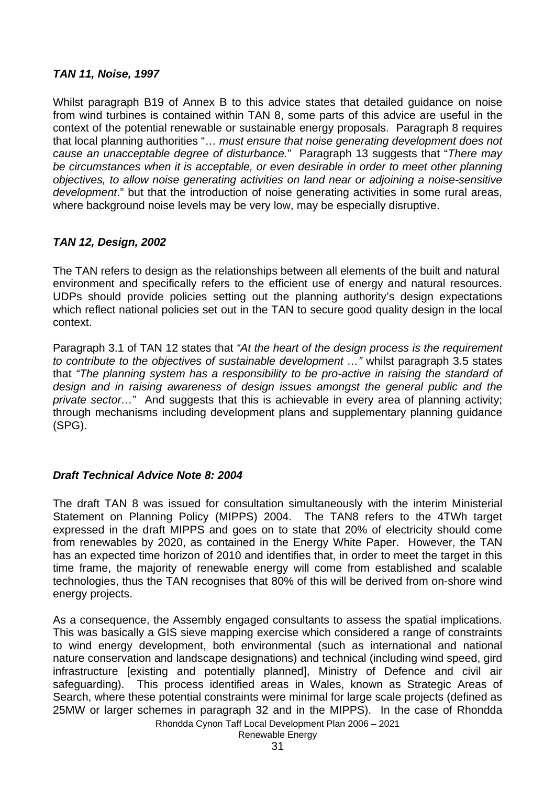## *TAN 11, Noise, 1997*

Whilst paragraph B19 of Annex B to this advice states that detailed guidance on noise from wind turbines is contained within TAN 8, some parts of this advice are useful in the context of the potential renewable or sustainable energy proposals. Paragraph 8 requires that local planning authorities "… *must ensure that noise generating development does not cause an unacceptable degree of disturbance.*" Paragraph 13 suggests that "*There may be circumstances when it is acceptable, or even desirable in order to meet other planning objectives, to allow noise generating activities on land near or adjoining a noise-sensitive development*." but that the introduction of noise generating activities in some rural areas, where background noise levels may be very low, may be especially disruptive.

## *TAN 12, Design, 2002*

The TAN refers to design as the relationships between all elements of the built and natural environment and specifically refers to the efficient use of energy and natural resources. UDPs should provide policies setting out the planning authority's design expectations which reflect national policies set out in the TAN to secure good quality design in the local context.

Paragraph 3.1 of TAN 12 states that *"At the heart of the design process is the requirement to contribute to the objectives of sustainable development …"* whilst paragraph 3.5 states that *"The planning system has a responsibility to be pro-active in raising the standard of design and in raising awareness of design issues amongst the general public and the private sector…*" And suggests that this is achievable in every area of planning activity; through mechanisms including development plans and supplementary planning guidance (SPG).

## *Draft Technical Advice Note 8: 2004*

The draft TAN 8 was issued for consultation simultaneously with the interim Ministerial Statement on Planning Policy (MIPPS) 2004. The TAN8 refers to the 4TWh target expressed in the draft MIPPS and goes on to state that 20% of electricity should come from renewables by 2020, as contained in the Energy White Paper. However, the TAN has an expected time horizon of 2010 and identifies that, in order to meet the target in this time frame, the majority of renewable energy will come from established and scalable technologies, thus the TAN recognises that 80% of this will be derived from on-shore wind energy projects.

As a consequence, the Assembly engaged consultants to assess the spatial implications. This was basically a GIS sieve mapping exercise which considered a range of constraints to wind energy development, both environmental (such as international and national nature conservation and landscape designations) and technical (including wind speed, gird infrastructure [existing and potentially planned], Ministry of Defence and civil air safeguarding). This process identified areas in Wales, known as Strategic Areas of Search, where these potential constraints were minimal for large scale projects (defined as 25MW or larger schemes in paragraph 32 and in the MIPPS). In the case of Rhondda

Rhondda Cynon Taff Local Development Plan 2006 – 2021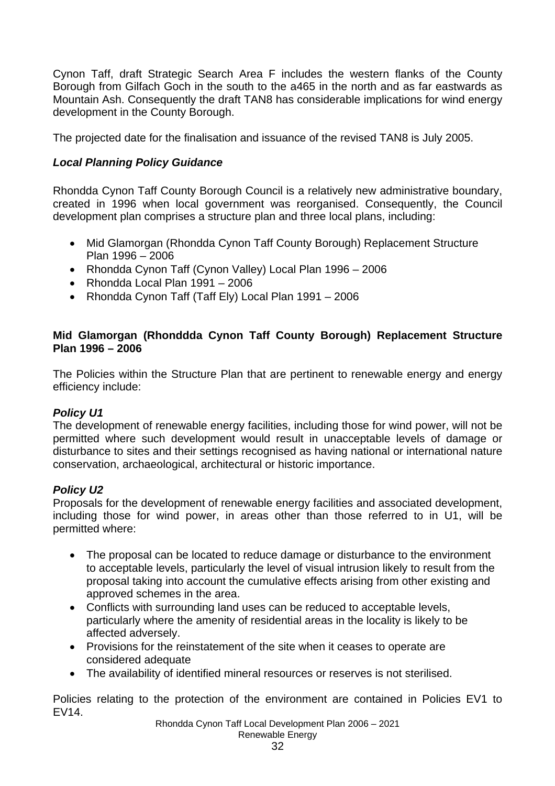Cynon Taff, draft Strategic Search Area F includes the western flanks of the County Borough from Gilfach Goch in the south to the a465 in the north and as far eastwards as Mountain Ash. Consequently the draft TAN8 has considerable implications for wind energy development in the County Borough.

The projected date for the finalisation and issuance of the revised TAN8 is July 2005.

## *Local Planning Policy Guidance*

Rhondda Cynon Taff County Borough Council is a relatively new administrative boundary, created in 1996 when local government was reorganised. Consequently, the Council development plan comprises a structure plan and three local plans, including:

- Mid Glamorgan (Rhondda Cynon Taff County Borough) Replacement Structure Plan 1996 – 2006
- Rhondda Cynon Taff (Cynon Valley) Local Plan 1996 2006
- Rhondda Local Plan 1991 2006
- Rhondda Cynon Taff (Taff Ely) Local Plan 1991 2006

## **Mid Glamorgan (Rhonddda Cynon Taff County Borough) Replacement Structure Plan 1996 – 2006**

The Policies within the Structure Plan that are pertinent to renewable energy and energy efficiency include:

## *Policy U1*

The development of renewable energy facilities, including those for wind power, will not be permitted where such development would result in unacceptable levels of damage or disturbance to sites and their settings recognised as having national or international nature conservation, archaeological, architectural or historic importance.

## *Policy U2*

Proposals for the development of renewable energy facilities and associated development, including those for wind power, in areas other than those referred to in U1, will be permitted where:

- The proposal can be located to reduce damage or disturbance to the environment to acceptable levels, particularly the level of visual intrusion likely to result from the proposal taking into account the cumulative effects arising from other existing and approved schemes in the area.
- Conflicts with surrounding land uses can be reduced to acceptable levels, particularly where the amenity of residential areas in the locality is likely to be affected adversely.
- Provisions for the reinstatement of the site when it ceases to operate are considered adequate
- The availability of identified mineral resources or reserves is not sterilised.

Policies relating to the protection of the environment are contained in Policies EV1 to EV14.

> Rhondda Cynon Taff Local Development Plan 2006 – 2021 Renewable Energy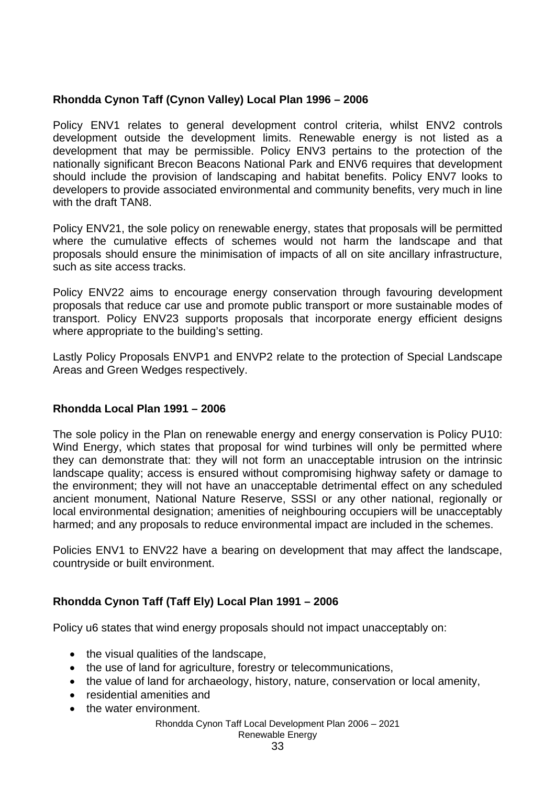## **Rhondda Cynon Taff (Cynon Valley) Local Plan 1996 – 2006**

Policy ENV1 relates to general development control criteria, whilst ENV2 controls development outside the development limits. Renewable energy is not listed as a development that may be permissible. Policy ENV3 pertains to the protection of the nationally significant Brecon Beacons National Park and ENV6 requires that development should include the provision of landscaping and habitat benefits. Policy ENV7 looks to developers to provide associated environmental and community benefits, very much in line with the draft TAN8.

Policy ENV21, the sole policy on renewable energy, states that proposals will be permitted where the cumulative effects of schemes would not harm the landscape and that proposals should ensure the minimisation of impacts of all on site ancillary infrastructure, such as site access tracks.

Policy ENV22 aims to encourage energy conservation through favouring development proposals that reduce car use and promote public transport or more sustainable modes of transport. Policy ENV23 supports proposals that incorporate energy efficient designs where appropriate to the building's setting.

Lastly Policy Proposals ENVP1 and ENVP2 relate to the protection of Special Landscape Areas and Green Wedges respectively.

### **Rhondda Local Plan 1991 – 2006**

The sole policy in the Plan on renewable energy and energy conservation is Policy PU10: Wind Energy, which states that proposal for wind turbines will only be permitted where they can demonstrate that: they will not form an unacceptable intrusion on the intrinsic landscape quality; access is ensured without compromising highway safety or damage to the environment; they will not have an unacceptable detrimental effect on any scheduled ancient monument, National Nature Reserve, SSSI or any other national, regionally or local environmental designation; amenities of neighbouring occupiers will be unacceptably harmed; and any proposals to reduce environmental impact are included in the schemes.

Policies ENV1 to ENV22 have a bearing on development that may affect the landscape, countryside or built environment.

## **Rhondda Cynon Taff (Taff Ely) Local Plan 1991 – 2006**

Policy u6 states that wind energy proposals should not impact unacceptably on:

- the visual qualities of the landscape,
- the use of land for agriculture, forestry or telecommunications,
- the value of land for archaeology, history, nature, conservation or local amenity,
- residential amenities and
- the water environment.

### Rhondda Cynon Taff Local Development Plan 2006 – 2021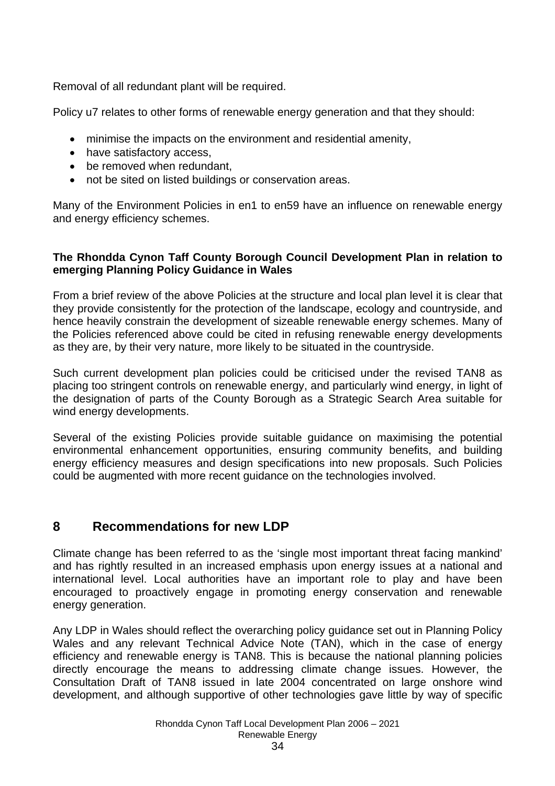Removal of all redundant plant will be required.

Policy u7 relates to other forms of renewable energy generation and that they should:

- minimise the impacts on the environment and residential amenity,
- have satisfactory access.
- be removed when redundant,
- not be sited on listed buildings or conservation areas.

Many of the Environment Policies in en1 to en59 have an influence on renewable energy and energy efficiency schemes.

### **The Rhondda Cynon Taff County Borough Council Development Plan in relation to emerging Planning Policy Guidance in Wales**

From a brief review of the above Policies at the structure and local plan level it is clear that they provide consistently for the protection of the landscape, ecology and countryside, and hence heavily constrain the development of sizeable renewable energy schemes. Many of the Policies referenced above could be cited in refusing renewable energy developments as they are, by their very nature, more likely to be situated in the countryside.

Such current development plan policies could be criticised under the revised TAN8 as placing too stringent controls on renewable energy, and particularly wind energy, in light of the designation of parts of the County Borough as a Strategic Search Area suitable for wind energy developments.

Several of the existing Policies provide suitable guidance on maximising the potential environmental enhancement opportunities, ensuring community benefits, and building energy efficiency measures and design specifications into new proposals. Such Policies could be augmented with more recent guidance on the technologies involved.

## **8 Recommendations for new LDP**

Climate change has been referred to as the 'single most important threat facing mankind' and has rightly resulted in an increased emphasis upon energy issues at a national and international level. Local authorities have an important role to play and have been encouraged to proactively engage in promoting energy conservation and renewable energy generation.

Any LDP in Wales should reflect the overarching policy guidance set out in Planning Policy Wales and any relevant Technical Advice Note (TAN), which in the case of energy efficiency and renewable energy is TAN8. This is because the national planning policies directly encourage the means to addressing climate change issues. However, the Consultation Draft of TAN8 issued in late 2004 concentrated on large onshore wind development, and although supportive of other technologies gave little by way of specific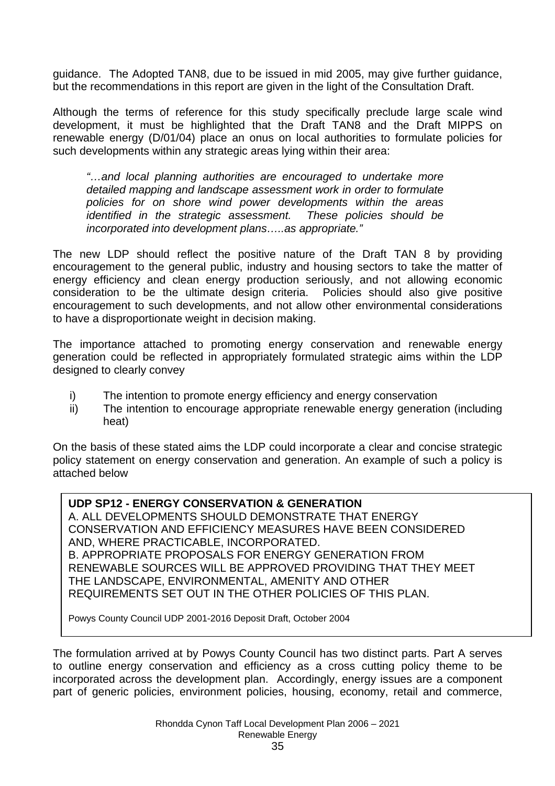guidance. The Adopted TAN8, due to be issued in mid 2005, may give further guidance, but the recommendations in this report are given in the light of the Consultation Draft.

Although the terms of reference for this study specifically preclude large scale wind development, it must be highlighted that the Draft TAN8 and the Draft MIPPS on renewable energy (D/01/04) place an onus on local authorities to formulate policies for such developments within any strategic areas lying within their area:

*"…and local planning authorities are encouraged to undertake more detailed mapping and landscape assessment work in order to formulate policies for on shore wind power developments within the areas identified in the strategic assessment. These policies should be incorporated into development plans…..as appropriate."* 

The new LDP should reflect the positive nature of the Draft TAN 8 by providing encouragement to the general public, industry and housing sectors to take the matter of energy efficiency and clean energy production seriously, and not allowing economic consideration to be the ultimate design criteria. Policies should also give positive encouragement to such developments, and not allow other environmental considerations to have a disproportionate weight in decision making.

The importance attached to promoting energy conservation and renewable energy generation could be reflected in appropriately formulated strategic aims within the LDP designed to clearly convey

- i) The intention to promote energy efficiency and energy conservation
- ii) The intention to encourage appropriate renewable energy generation (including heat)

On the basis of these stated aims the LDP could incorporate a clear and concise strategic policy statement on energy conservation and generation. An example of such a policy is attached below

### **UDP SP12 - ENERGY CONSERVATION & GENERATION**

A. ALL DEVELOPMENTS SHOULD DEMONSTRATE THAT ENERGY CONSERVATION AND EFFICIENCY MEASURES HAVE BEEN CONSIDERED AND, WHERE PRACTICABLE, INCORPORATED. B. APPROPRIATE PROPOSALS FOR ENERGY GENERATION FROM RENEWABLE SOURCES WILL BE APPROVED PROVIDING THAT THEY MEET THE LANDSCAPE, ENVIRONMENTAL, AMENITY AND OTHER REQUIREMENTS SET OUT IN THE OTHER POLICIES OF THIS PLAN.

Powys County Council UDP 2001-2016 Deposit Draft, October 2004

The formulation arrived at by Powys County Council has two distinct parts. Part A serves to outline energy conservation and efficiency as a cross cutting policy theme to be incorporated across the development plan. Accordingly, energy issues are a component part of generic policies, environment policies, housing, economy, retail and commerce,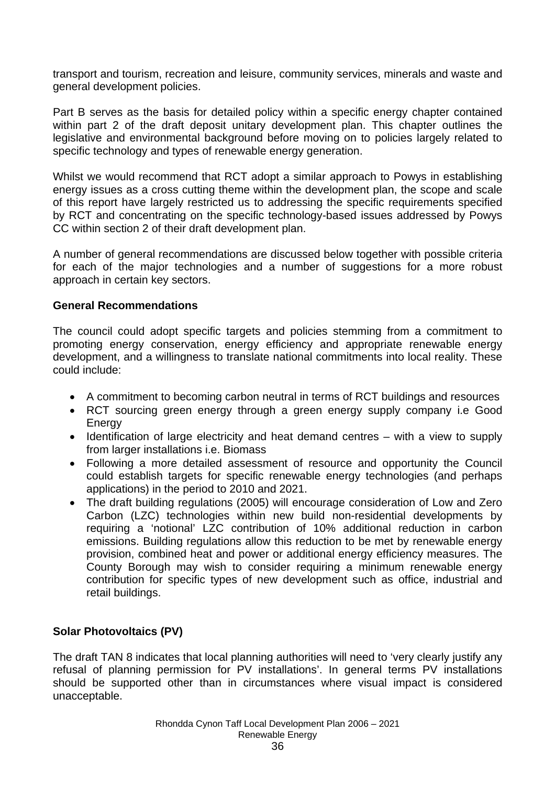transport and tourism, recreation and leisure, community services, minerals and waste and general development policies.

Part B serves as the basis for detailed policy within a specific energy chapter contained within part 2 of the draft deposit unitary development plan. This chapter outlines the legislative and environmental background before moving on to policies largely related to specific technology and types of renewable energy generation.

Whilst we would recommend that RCT adopt a similar approach to Powys in establishing energy issues as a cross cutting theme within the development plan, the scope and scale of this report have largely restricted us to addressing the specific requirements specified by RCT and concentrating on the specific technology-based issues addressed by Powys CC within section 2 of their draft development plan.

A number of general recommendations are discussed below together with possible criteria for each of the major technologies and a number of suggestions for a more robust approach in certain key sectors.

### **General Recommendations**

The council could adopt specific targets and policies stemming from a commitment to promoting energy conservation, energy efficiency and appropriate renewable energy development, and a willingness to translate national commitments into local reality. These could include:

- A commitment to becoming carbon neutral in terms of RCT buildings and resources
- RCT sourcing green energy through a green energy supply company i.e Good **Energy**
- Identification of large electricity and heat demand centres with a view to supply from larger installations i.e. Biomass
- Following a more detailed assessment of resource and opportunity the Council could establish targets for specific renewable energy technologies (and perhaps applications) in the period to 2010 and 2021.
- The draft building regulations (2005) will encourage consideration of Low and Zero Carbon (LZC) technologies within new build non-residential developments by requiring a 'notional' LZC contribution of 10% additional reduction in carbon emissions. Building regulations allow this reduction to be met by renewable energy provision, combined heat and power or additional energy efficiency measures. The County Borough may wish to consider requiring a minimum renewable energy contribution for specific types of new development such as office, industrial and retail buildings.

### **Solar Photovoltaics (PV)**

The draft TAN 8 indicates that local planning authorities will need to 'very clearly justify any refusal of planning permission for PV installations'. In general terms PV installations should be supported other than in circumstances where visual impact is considered unacceptable.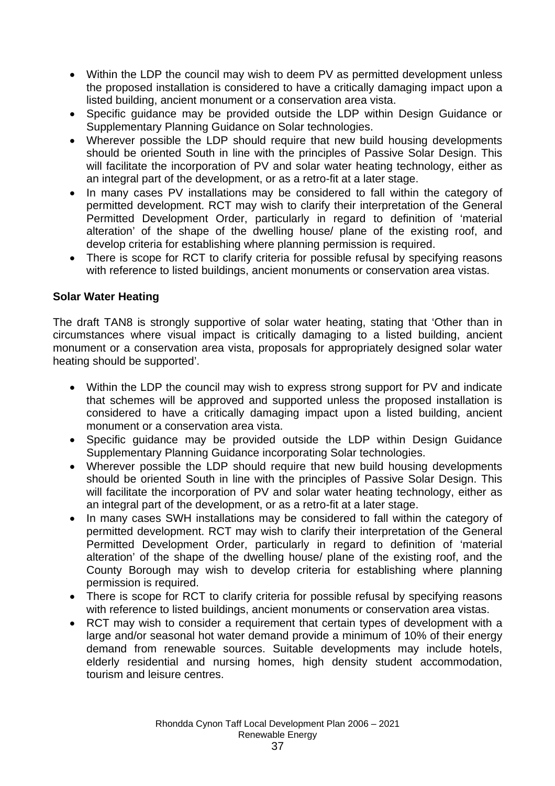- Within the LDP the council may wish to deem PV as permitted development unless the proposed installation is considered to have a critically damaging impact upon a listed building, ancient monument or a conservation area vista.
- Specific guidance may be provided outside the LDP within Design Guidance or Supplementary Planning Guidance on Solar technologies.
- Wherever possible the LDP should require that new build housing developments should be oriented South in line with the principles of Passive Solar Design. This will facilitate the incorporation of PV and solar water heating technology, either as an integral part of the development, or as a retro-fit at a later stage.
- In many cases PV installations may be considered to fall within the category of permitted development. RCT may wish to clarify their interpretation of the General Permitted Development Order, particularly in regard to definition of 'material alteration' of the shape of the dwelling house/ plane of the existing roof, and develop criteria for establishing where planning permission is required.
- There is scope for RCT to clarify criteria for possible refusal by specifying reasons with reference to listed buildings, ancient monuments or conservation area vistas.

## **Solar Water Heating**

The draft TAN8 is strongly supportive of solar water heating, stating that 'Other than in circumstances where visual impact is critically damaging to a listed building, ancient monument or a conservation area vista, proposals for appropriately designed solar water heating should be supported'.

- Within the LDP the council may wish to express strong support for PV and indicate that schemes will be approved and supported unless the proposed installation is considered to have a critically damaging impact upon a listed building, ancient monument or a conservation area vista.
- Specific guidance may be provided outside the LDP within Design Guidance Supplementary Planning Guidance incorporating Solar technologies.
- Wherever possible the LDP should require that new build housing developments should be oriented South in line with the principles of Passive Solar Design. This will facilitate the incorporation of PV and solar water heating technology, either as an integral part of the development, or as a retro-fit at a later stage.
- In many cases SWH installations may be considered to fall within the category of permitted development. RCT may wish to clarify their interpretation of the General Permitted Development Order, particularly in regard to definition of 'material alteration' of the shape of the dwelling house/ plane of the existing roof, and the County Borough may wish to develop criteria for establishing where planning permission is required.
- There is scope for RCT to clarify criteria for possible refusal by specifying reasons with reference to listed buildings, ancient monuments or conservation area vistas.
- RCT may wish to consider a requirement that certain types of development with a large and/or seasonal hot water demand provide a minimum of 10% of their energy demand from renewable sources. Suitable developments may include hotels, elderly residential and nursing homes, high density student accommodation, tourism and leisure centres.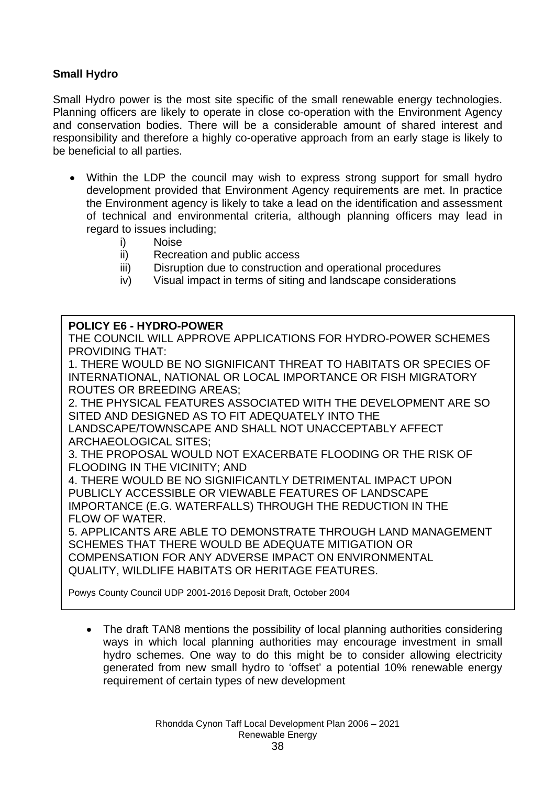## **Small Hydro**

Small Hydro power is the most site specific of the small renewable energy technologies. Planning officers are likely to operate in close co-operation with the Environment Agency and conservation bodies. There will be a considerable amount of shared interest and responsibility and therefore a highly co-operative approach from an early stage is likely to be beneficial to all parties.

- Within the LDP the council may wish to express strong support for small hydro development provided that Environment Agency requirements are met. In practice the Environment agency is likely to take a lead on the identification and assessment of technical and environmental criteria, although planning officers may lead in regard to issues including;
	- i) Noise
	- ii) Recreation and public access
	- iii) Disruption due to construction and operational procedures
	- iv) Visual impact in terms of siting and landscape considerations

### **POLICY E6 - HYDRO-POWER**

THE COUNCIL WILL APPROVE APPLICATIONS FOR HYDRO-POWER SCHEMES PROVIDING THAT:

1. THERE WOULD BE NO SIGNIFICANT THREAT TO HABITATS OR SPECIES OF INTERNATIONAL, NATIONAL OR LOCAL IMPORTANCE OR FISH MIGRATORY ROUTES OR BREEDING AREAS;

2. THE PHYSICAL FEATURES ASSOCIATED WITH THE DEVELOPMENT ARE SO SITED AND DESIGNED AS TO FIT ADEQUATELY INTO THE LANDSCAPE/TOWNSCAPE AND SHALL NOT UNACCEPTABLY AFFECT ARCHAEOLOGICAL SITES;

3. THE PROPOSAL WOULD NOT EXACERBATE FLOODING OR THE RISK OF FLOODING IN THE VICINITY; AND

4. THERE WOULD BE NO SIGNIFICANTLY DETRIMENTAL IMPACT UPON PUBLICLY ACCESSIBLE OR VIEWABLE FEATURES OF LANDSCAPE IMPORTANCE (E.G. WATERFALLS) THROUGH THE REDUCTION IN THE FLOW OF WATER.

5. APPLICANTS ARE ABLE TO DEMONSTRATE THROUGH LAND MANAGEMENT SCHEMES THAT THERE WOULD BE ADEQUATE MITIGATION OR COMPENSATION FOR ANY ADVERSE IMPACT ON ENVIRONMENTAL QUALITY, WILDLIFE HABITATS OR HERITAGE FEATURES.

Powys County Council UDP 2001-2016 Deposit Draft, October 2004

• The draft TAN8 mentions the possibility of local planning authorities considering ways in which local planning authorities may encourage investment in small hydro schemes. One way to do this might be to consider allowing electricity generated from new small hydro to 'offset' a potential 10% renewable energy requirement of certain types of new development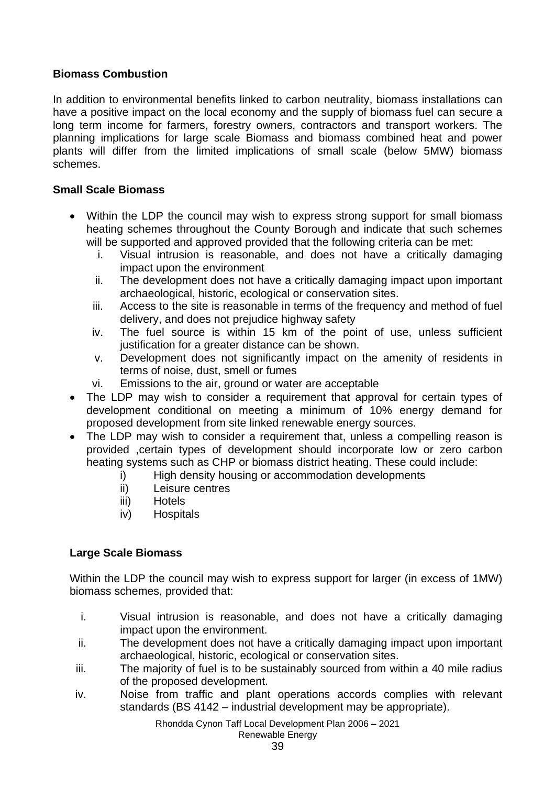## **Biomass Combustion**

In addition to environmental benefits linked to carbon neutrality, biomass installations can have a positive impact on the local economy and the supply of biomass fuel can secure a long term income for farmers, forestry owners, contractors and transport workers. The planning implications for large scale Biomass and biomass combined heat and power plants will differ from the limited implications of small scale (below 5MW) biomass schemes.

## **Small Scale Biomass**

- Within the LDP the council may wish to express strong support for small biomass heating schemes throughout the County Borough and indicate that such schemes will be supported and approved provided that the following criteria can be met:
	- i. Visual intrusion is reasonable, and does not have a critically damaging impact upon the environment
	- ii. The development does not have a critically damaging impact upon important archaeological, historic, ecological or conservation sites.
	- iii. Access to the site is reasonable in terms of the frequency and method of fuel delivery, and does not prejudice highway safety
	- iv. The fuel source is within 15 km of the point of use, unless sufficient justification for a greater distance can be shown.
	- v. Development does not significantly impact on the amenity of residents in terms of noise, dust, smell or fumes
	- vi. Emissions to the air, ground or water are acceptable
- The LDP may wish to consider a requirement that approval for certain types of development conditional on meeting a minimum of 10% energy demand for proposed development from site linked renewable energy sources.
- The LDP may wish to consider a requirement that, unless a compelling reason is provided ,certain types of development should incorporate low or zero carbon heating systems such as CHP or biomass district heating. These could include:
	- i) High density housing or accommodation developments
	- ii) Leisure centres
	- iii) Hotels
	- iv) Hospitals

## **Large Scale Biomass**

Within the LDP the council may wish to express support for larger (in excess of 1MW) biomass schemes, provided that:

- i. Visual intrusion is reasonable, and does not have a critically damaging impact upon the environment.
- ii. The development does not have a critically damaging impact upon important archaeological, historic, ecological or conservation sites.
- iii. The majority of fuel is to be sustainably sourced from within a 40 mile radius of the proposed development.
- iv. Noise from traffic and plant operations accords complies with relevant standards (BS 4142 – industrial development may be appropriate).

Rhondda Cynon Taff Local Development Plan 2006 – 2021 Renewable Energy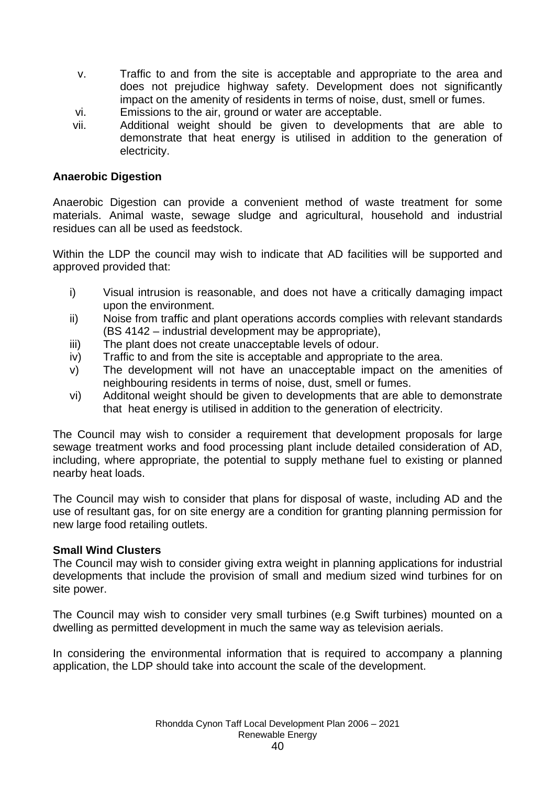- v. Traffic to and from the site is acceptable and appropriate to the area and does not prejudice highway safety. Development does not significantly impact on the amenity of residents in terms of noise, dust, smell or fumes.
- vi. Emissions to the air, ground or water are acceptable.
- vii. Additional weight should be given to developments that are able to demonstrate that heat energy is utilised in addition to the generation of electricity.

## **Anaerobic Digestion**

Anaerobic Digestion can provide a convenient method of waste treatment for some materials. Animal waste, sewage sludge and agricultural, household and industrial residues can all be used as feedstock.

Within the LDP the council may wish to indicate that AD facilities will be supported and approved provided that:

- i) Visual intrusion is reasonable, and does not have a critically damaging impact upon the environment.
- ii) Noise from traffic and plant operations accords complies with relevant standards (BS 4142 – industrial development may be appropriate),
- iii) The plant does not create unacceptable levels of odour.
- iv) Traffic to and from the site is acceptable and appropriate to the area.
- v) The development will not have an unacceptable impact on the amenities of neighbouring residents in terms of noise, dust, smell or fumes.
- vi) Additonal weight should be given to developments that are able to demonstrate that heat energy is utilised in addition to the generation of electricity.

The Council may wish to consider a requirement that development proposals for large sewage treatment works and food processing plant include detailed consideration of AD, including, where appropriate, the potential to supply methane fuel to existing or planned nearby heat loads.

The Council may wish to consider that plans for disposal of waste, including AD and the use of resultant gas, for on site energy are a condition for granting planning permission for new large food retailing outlets.

## **Small Wind Clusters**

The Council may wish to consider giving extra weight in planning applications for industrial developments that include the provision of small and medium sized wind turbines for on site power.

The Council may wish to consider very small turbines (e.g Swift turbines) mounted on a dwelling as permitted development in much the same way as television aerials.

In considering the environmental information that is required to accompany a planning application, the LDP should take into account the scale of the development.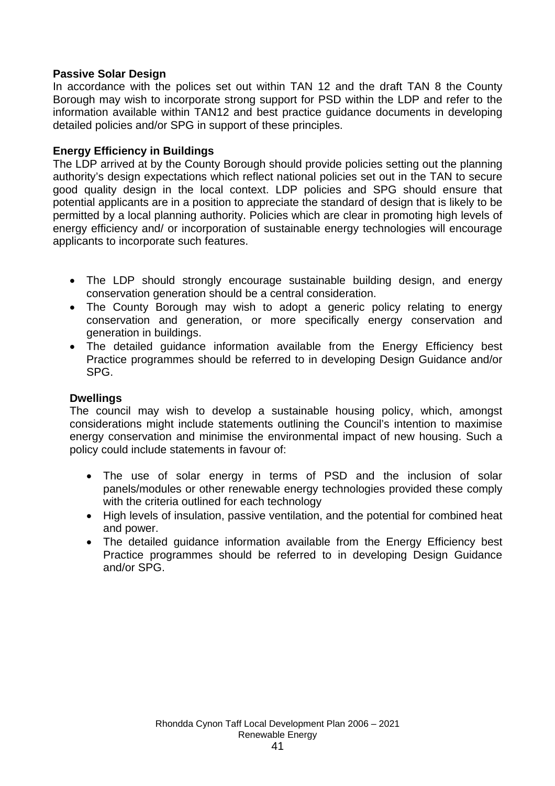## **Passive Solar Design**

In accordance with the polices set out within TAN 12 and the draft TAN 8 the County Borough may wish to incorporate strong support for PSD within the LDP and refer to the information available within TAN12 and best practice guidance documents in developing detailed policies and/or SPG in support of these principles.

### **Energy Efficiency in Buildings**

The LDP arrived at by the County Borough should provide policies setting out the planning authority's design expectations which reflect national policies set out in the TAN to secure good quality design in the local context. LDP policies and SPG should ensure that potential applicants are in a position to appreciate the standard of design that is likely to be permitted by a local planning authority. Policies which are clear in promoting high levels of energy efficiency and/ or incorporation of sustainable energy technologies will encourage applicants to incorporate such features.

- The LDP should strongly encourage sustainable building design, and energy conservation generation should be a central consideration.
- The County Borough may wish to adopt a generic policy relating to energy conservation and generation, or more specifically energy conservation and generation in buildings.
- The detailed guidance information available from the Energy Efficiency best Practice programmes should be referred to in developing Design Guidance and/or SPG.

### **Dwellings**

The council may wish to develop a sustainable housing policy, which, amongst considerations might include statements outlining the Council's intention to maximise energy conservation and minimise the environmental impact of new housing. Such a policy could include statements in favour of:

- The use of solar energy in terms of PSD and the inclusion of solar panels/modules or other renewable energy technologies provided these comply with the criteria outlined for each technology
- High levels of insulation, passive ventilation, and the potential for combined heat and power.
- The detailed guidance information available from the Energy Efficiency best Practice programmes should be referred to in developing Design Guidance and/or SPG.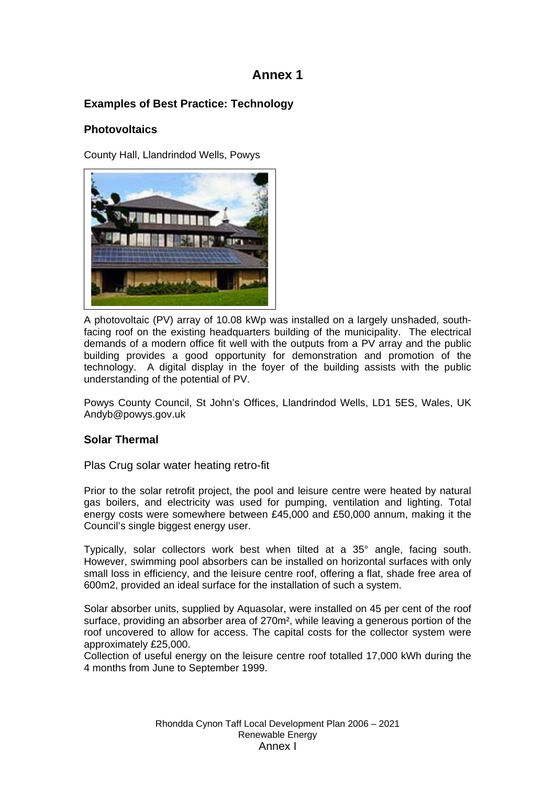## **Annex 1**

## **Examples of Best Practice: Technology**

## **Photovoltaics**

County Hall, Llandrindod Wells, Powys



A photovoltaic (PV) array of 10.08 kWp was installed on a largely unshaded, southfacing roof on the existing headquarters building of the municipality. The electrical demands of a modern office fit well with the outputs from a PV array and the public building provides a good opportunity for demonstration and promotion of the technology. A digital display in the foyer of the building assists with the public understanding of the potential of PV.

Powys County Council, St John's Offices, Llandrindod Wells, LD1 5ES, Wales, UK Andyb@powys.gov.uk

## **Solar Thermal**

Plas Crug solar water heating retro-fit

Prior to the solar retrofit project, the pool and leisure centre were heated by natural gas boilers, and electricity was used for pumping, ventilation and lighting. Total energy costs were somewhere between £45,000 and £50,000 annum, making it the Council's single biggest energy user.

Typically, solar collectors work best when tilted at a 35° angle, facing south. However, swimming pool absorbers can be installed on horizontal surfaces with only small loss in efficiency, and the leisure centre roof, offering a flat, shade free area of 600m2, provided an ideal surface for the installation of such a system.

Solar absorber units, supplied by Aquasolar, were installed on 45 per cent of the roof surface, providing an absorber area of 270m<sup>2</sup>, while leaving a generous portion of the roof uncovered to allow for access. The capital costs for the collector system were approximately £25,000.

Collection of useful energy on the leisure centre roof totalled 17,000 kWh during the 4 months from June to September 1999.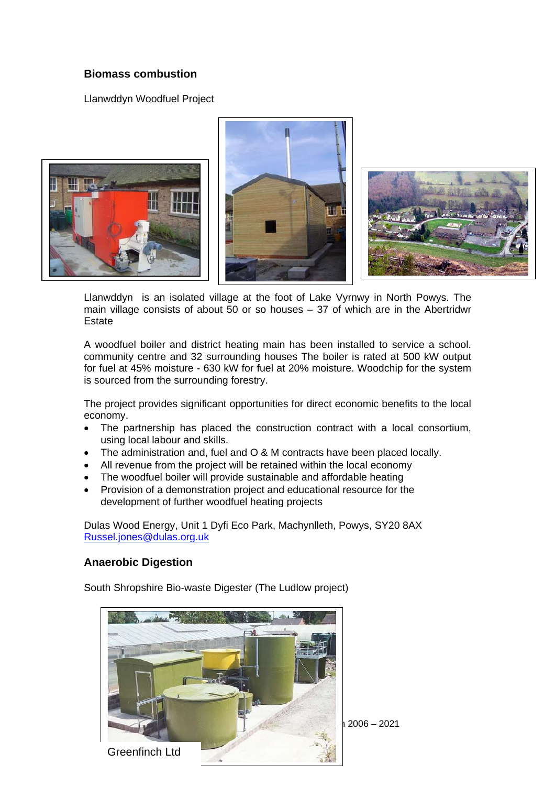## **Biomass combustion**

Llanwddyn Woodfuel Project



Llanwddyn is an isolated village at the foot of Lake Vyrnwy in North Powys. The main village consists of about 50 or so houses – 37 of which are in the Abertridwr Estate

A woodfuel boiler and district heating main has been installed to service a school. community centre and 32 surrounding houses The boiler is rated at 500 kW output for fuel at 45% moisture - 630 kW for fuel at 20% moisture. Woodchip for the system is sourced from the surrounding forestry.

The project provides significant opportunities for direct economic benefits to the local economy.

- The partnership has placed the construction contract with a local consortium, using local labour and skills.
- The administration and, fuel and O & M contracts have been placed locally.
- All revenue from the project will be retained within the local economy
- The woodfuel boiler will provide sustainable and affordable heating
- Provision of a demonstration project and educational resource for the development of further woodfuel heating projects

Dulas Wood Energy, Unit 1 Dyfi Eco Park, Machynlleth, Powys, SY20 8AX Russel.jones@dulas.org.uk

### **Anaerobic Digestion**

South Shropshire Bio-waste Digester (The Ludlow project)



 $2006 - 2021$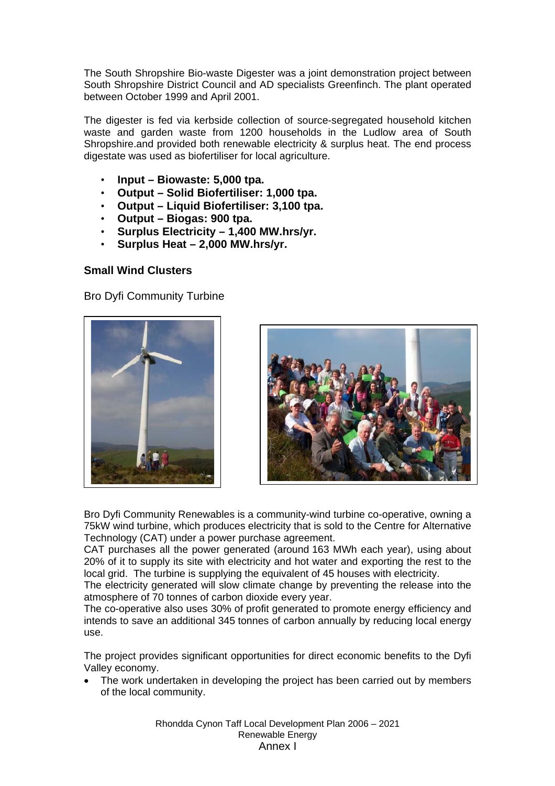The South Shropshire Bio-waste Digester was a joint demonstration project between South Shropshire District Council and AD specialists Greenfinch. The plant operated between October 1999 and April 2001.

The digester is fed via kerbside collection of source-segregated household kitchen waste and garden waste from 1200 households in the Ludlow area of South Shropshire.and provided both renewable electricity & surplus heat. The end process digestate was used as biofertiliser for local agriculture.

- **Input Biowaste: 5,000 tpa.**
- **Output Solid Biofertiliser: 1,000 tpa.**
- **Output Liquid Biofertiliser: 3,100 tpa.**
- **Output Biogas: 900 tpa.**
- **Surplus Electricity 1,400 MW.hrs/yr.**
- **Surplus Heat 2,000 MW.hrs/yr.**

### **Small Wind Clusters**

Bro Dyfi Community Turbine





Bro Dyfi Community Renewables is a community-wind turbine co-operative, owning a 75kW wind turbine, which produces electricity that is sold to the Centre for Alternative Technology (CAT) under a power purchase agreement.

CAT purchases all the power generated (around 163 MWh each year), using about 20% of it to supply its site with electricity and hot water and exporting the rest to the local grid. The turbine is supplying the equivalent of 45 houses with electricity.

The electricity generated will slow climate change by preventing the release into the atmosphere of 70 tonnes of carbon dioxide every year.

The co-operative also uses 30% of profit generated to promote energy efficiency and intends to save an additional 345 tonnes of carbon annually by reducing local energy use.

The project provides significant opportunities for direct economic benefits to the Dyfi Valley economy.

• The work undertaken in developing the project has been carried out by members of the local community.

> Rhondda Cynon Taff Local Development Plan 2006 – 2021 Renewable Energy Annex I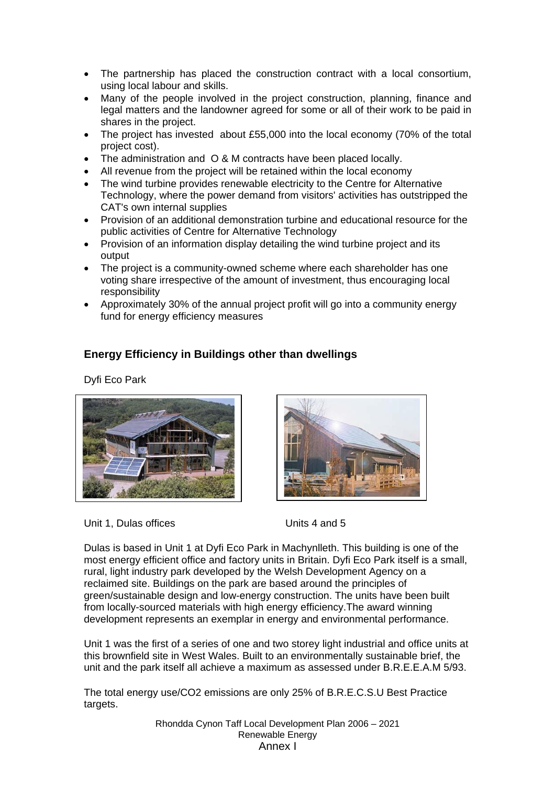- The partnership has placed the construction contract with a local consortium, using local labour and skills.
- Many of the people involved in the project construction, planning, finance and legal matters and the landowner agreed for some or all of their work to be paid in shares in the project.
- The project has invested about £55,000 into the local economy (70% of the total project cost).
- The administration and O & M contracts have been placed locally.
- All revenue from the project will be retained within the local economy
- The wind turbine provides renewable electricity to the Centre for Alternative Technology, where the power demand from visitors' activities has outstripped the CAT's own internal supplies
- Provision of an additional demonstration turbine and educational resource for the public activities of Centre for Alternative Technology
- Provision of an information display detailing the wind turbine project and its output
- The project is a community-owned scheme where each shareholder has one voting share irrespective of the amount of investment, thus encouraging local responsibility
- Approximately 30% of the annual project profit will go into a community energy fund for energy efficiency measures

## **Energy Efficiency in Buildings other than dwellings**

Dyfi Eco Park





Unit 1, Dulas offices Units 4 and 5

Dulas is based in Unit 1 at Dyfi Eco Park in Machynlleth. This building is one of the most energy efficient office and factory units in Britain. Dyfi Eco Park itself is a small, rural, light industry park developed by the Welsh Development Agency on a reclaimed site. Buildings on the park are based around the principles of green/sustainable design and low-energy construction. The units have been built from locally-sourced materials with high energy efficiency.The award winning development represents an exemplar in energy and environmental performance.

Unit 1 was the first of a series of one and two storey light industrial and office units at this brownfield site in West Wales. Built to an environmentally sustainable brief, the unit and the park itself all achieve a maximum as assessed under B.R.E.E.A.M 5/93.

The total energy use/CO2 emissions are only 25% of B.R.E.C.S.U Best Practice targets.

> Rhondda Cynon Taff Local Development Plan 2006 – 2021 Renewable Energy Annex I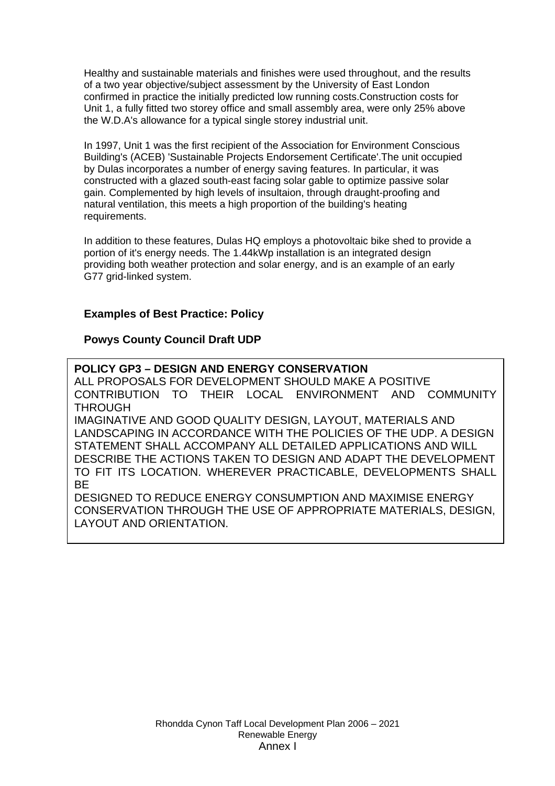Healthy and sustainable materials and finishes were used throughout, and the results of a two year objective/subject assessment by the University of East London confirmed in practice the initially predicted low running costs.Construction costs for Unit 1, a fully fitted two storey office and small assembly area, were only 25% above the W.D.A's allowance for a typical single storey industrial unit.

In 1997, Unit 1 was the first recipient of the Association for Environment Conscious Building's (ACEB) 'Sustainable Projects Endorsement Certificate'.The unit occupied by Dulas incorporates a number of energy saving features. In particular, it was constructed with a glazed south-east facing solar gable to optimize passive solar gain. Complemented by high levels of insultaion, through draught-proofing and natural ventilation, this meets a high proportion of the building's heating requirements.

In addition to these features, Dulas HQ employs a photovoltaic bike shed to provide a portion of it's energy needs. The 1.44kWp installation is an integrated design providing both weather protection and solar energy, and is an example of an early G77 grid-linked system.

### **Examples of Best Practice: Policy**

## **Powys County Council Draft UDP**

**POLICY GP3 – DESIGN AND ENERGY CONSERVATION**  ALL PROPOSALS FOR DEVELOPMENT SHOULD MAKE A POSITIVE CONTRIBUTION TO THEIR LOCAL ENVIRONMENT AND COMMUNITY **THROUGH** IMAGINATIVE AND GOOD QUALITY DESIGN, LAYOUT, MATERIALS AND LANDSCAPING IN ACCORDANCE WITH THE POLICIES OF THE UDP. A DESIGN STATEMENT SHALL ACCOMPANY ALL DETAILED APPLICATIONS AND WILL DESCRIBE THE ACTIONS TAKEN TO DESIGN AND ADAPT THE DEVELOPMENT TO FIT ITS LOCATION. WHEREVER PRACTICABLE, DEVELOPMENTS SHALL BE DESIGNED TO REDUCE ENERGY CONSUMPTION AND MAXIMISE ENERGY CONSERVATION THROUGH THE USE OF APPROPRIATE MATERIALS, DESIGN, LAYOUT AND ORIENTATION.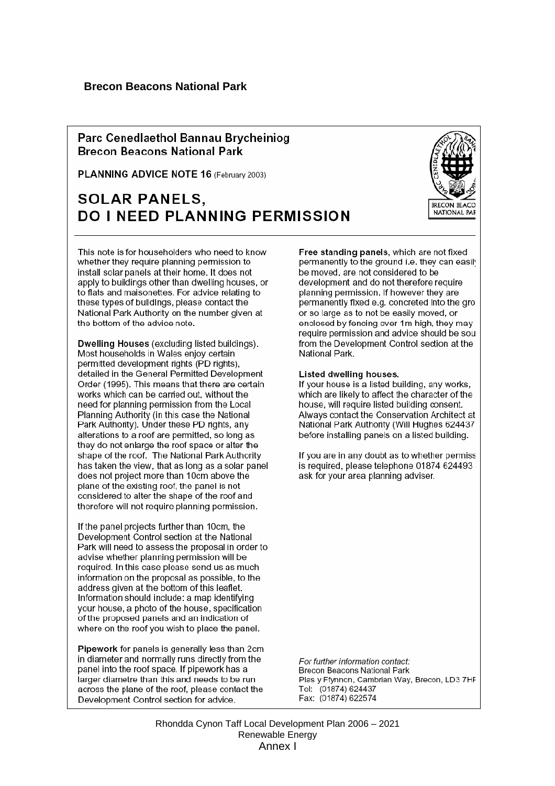### Parc Cenedlaethol Bannau Brycheiniog **Brecon Beacons National Park**

PLANNING ADVICE NOTE 16 (February 2003)

# **SOLAR PANELS. DO I NEED PLANNING PERMISSION**



This note is for householders who need to know whether they require planning permission to install solar panels at their home. It does not apply to buildings other than dwelling houses, or to flats and maisonettes. For advice relating to these types of buildings, please contact the National Park Authority on the number given at the bottom of the advice note.

Dwelling Houses (excluding listed buildings). Most households in Wales enjoy certain permitted development rights (PD rights), detailed in the General Permitted Development Order (1995). This means that there are certain works which can be carried out, without the need for planning permission from the Local Planning Authority (in this case the National Park Authority). Under these PD rights, any alterations to a roof are permitted, so long as they do not enlarge the roof space or alter the shape of the roof. The National Park Authority has taken the view, that as long as a solar panel does not project more than 10cm above the plane of the existing roof, the panel is not considered to alter the shape of the roof and therefore will not require planning permission.

If the panel projects further than 10cm, the Development Control section at the National Park will need to assess the proposal in order to advise whether planning permission will be required. In this case please send us as much information on the proposal as possible, to the address given at the bottom of this leaflet. Information should include: a map identifying your house, a photo of the house, specification of the proposed panels and an indication of where on the roof you wish to place the panel.

Pipework for panels is generally less than 2cm in diameter and normally runs directly from the panel into the roof space. If pipework has a larger diametre than this and needs to be run across the plane of the roof, please contact the Development Control section for advice.

Free standing panels, which are not fixed permanently to the ground i.e. they can easily be moved, are not considered to be development and do not therefore require planning permission. If however they are permanently fixed e.g. concreted into the gro or so large as to not be easily moved, or enclosed by fencing over 1m high, they may require permission and advice should be sou from the Development Control section at the National Park.

#### Listed dwelling houses.

If your house is a listed building, any works, which are likely to affect the character of the house, will require listed building consent. Always contact the Conservation Architect at National Park Authority (Will Hughes 624437) before installing panels on a listed building.

If you are in any doubt as to whether permiss is required, please telephone 01874 624493 : ask for your area planning adviser.

For further information contact: Brecon Beacons National Park Plas y Ffynnon, Cambrian Way, Brecon, LD3 7HF Tel: (01874) 624437 Fax: (01874) 622574

Rhondda Cynon Taff Local Development Plan 2006 – 2021 Renewable Energy Annex I